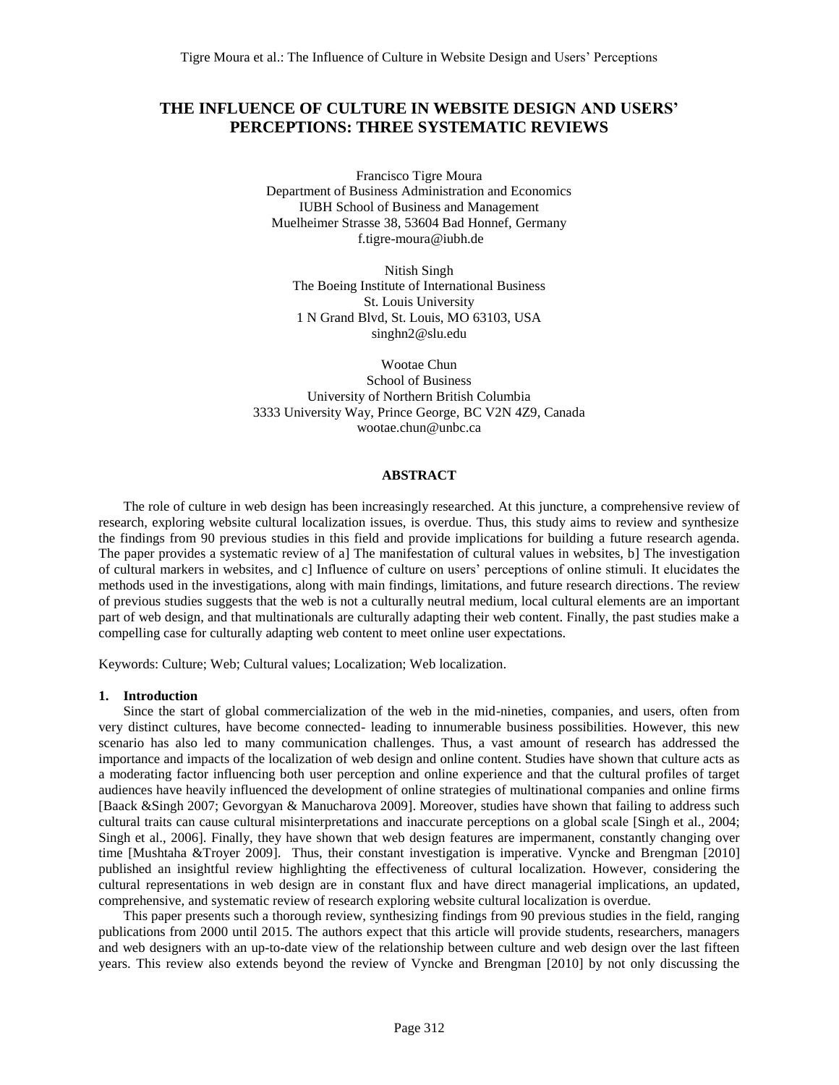# **THE INFLUENCE OF CULTURE IN WEBSITE DESIGN AND USERS' PERCEPTIONS: THREE SYSTEMATIC REVIEWS**

Francisco Tigre Moura Department of Business Administration and Economics IUBH School of Business and Management Muelheimer Strasse 38, 53604 Bad Honnef, Germany [f.tigre-moura@iubh.de](mailto:f.tigre-moura@iubh.de)

Nitish Singh The Boeing Institute of International Business St. Louis University 1 N Grand Blvd, St. Louis, MO 63103, USA [singhn2@slu.edu](mailto:singhn2@slu.edu)

Wootae Chun School of Business University of Northern British Columbia 3333 University Way, Prince George, BC V2N 4Z9, Canada [wootae.chun@unbc.ca](mailto:wootae.chun@unbc.ca)

## **ABSTRACT**

The role of culture in web design has been increasingly researched. At this juncture, a comprehensive review of research, exploring website cultural localization issues, is overdue. Thus, this study aims to review and synthesize the findings from 90 previous studies in this field and provide implications for building a future research agenda. The paper provides a systematic review of a] The manifestation of cultural values in websites, b] The investigation of cultural markers in websites, and c] Influence of culture on users' perceptions of online stimuli. It elucidates the methods used in the investigations, along with main findings, limitations, and future research directions. The review of previous studies suggests that the web is not a culturally neutral medium, local cultural elements are an important part of web design, and that multinationals are culturally adapting their web content. Finally, the past studies make a compelling case for culturally adapting web content to meet online user expectations.

Keywords: Culture; Web; Cultural values; Localization; Web localization.

#### **1. Introduction**

Since the start of global commercialization of the web in the mid-nineties, companies, and users, often from very distinct cultures, have become connected- leading to innumerable business possibilities. However, this new scenario has also led to many communication challenges. Thus, a vast amount of research has addressed the importance and impacts of the localization of web design and online content. Studies have shown that culture acts as a moderating factor influencing both user perception and online experience and that the cultural profiles of target audiences have heavily influenced the development of online strategies of multinational companies and online firms [Baack &Singh 2007; Gevorgyan & Manucharova 2009]. Moreover, studies have shown that failing to address such cultural traits can cause cultural misinterpretations and inaccurate perceptions on a global scale [Singh et al., 2004; Singh et al., 2006]. Finally, they have shown that web design features are impermanent, constantly changing over time [Mushtaha &Troyer 2009]. Thus, their constant investigation is imperative. Vyncke and Brengman [2010] published an insightful review highlighting the effectiveness of cultural localization. However, considering the cultural representations in web design are in constant flux and have direct managerial implications, an updated, comprehensive, and systematic review of research exploring website cultural localization is overdue.

This paper presents such a thorough review, synthesizing findings from 90 previous studies in the field, ranging publications from 2000 until 2015. The authors expect that this article will provide students, researchers, managers and web designers with an up-to-date view of the relationship between culture and web design over the last fifteen years. This review also extends beyond the review of Vyncke and Brengman [2010] by not only discussing the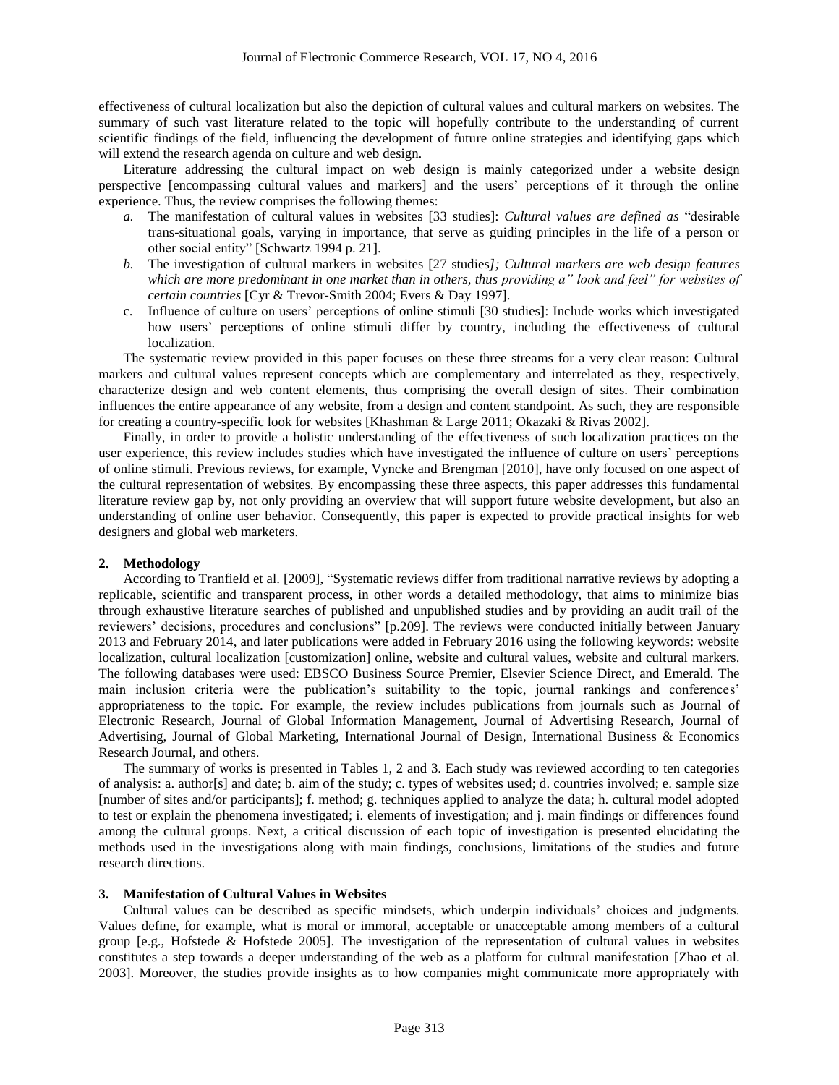effectiveness of cultural localization but also the depiction of cultural values and cultural markers on websites. The summary of such vast literature related to the topic will hopefully contribute to the understanding of current scientific findings of the field, influencing the development of future online strategies and identifying gaps which will extend the research agenda on culture and web design.

Literature addressing the cultural impact on web design is mainly categorized under a website design perspective [encompassing cultural values and markers] and the users' perceptions of it through the online experience. Thus, the review comprises the following themes:

- *a.* The manifestation of cultural values in websites [33 studies]: *Cultural values are defined as* "desirable trans-situational goals, varying in importance, that serve as guiding principles in the life of a person or other social entity" [Schwartz 1994 p. 21].
- *b.* The investigation of cultural markers in websites [27 studies*]; Cultural markers are web design features which are more predominant in one market than in others, thus providing a" look and feel" for websites of certain countries* [Cyr & Trevor-Smith 2004; Evers & Day 1997].
- c. Influence of culture on users' perceptions of online stimuli [30 studies]: Include works which investigated how users' perceptions of online stimuli differ by country, including the effectiveness of cultural localization.

The systematic review provided in this paper focuses on these three streams for a very clear reason: Cultural markers and cultural values represent concepts which are complementary and interrelated as they, respectively, characterize design and web content elements, thus comprising the overall design of sites. Their combination influences the entire appearance of any website, from a design and content standpoint. As such, they are responsible for creating a country-specific look for websites [Khashman & Large 2011; Okazaki & Rivas 2002].

Finally, in order to provide a holistic understanding of the effectiveness of such localization practices on the user experience, this review includes studies which have investigated the influence of culture on users' perceptions of online stimuli. Previous reviews, for example, Vyncke and Brengman [2010], have only focused on one aspect of the cultural representation of websites. By encompassing these three aspects, this paper addresses this fundamental literature review gap by, not only providing an overview that will support future website development, but also an understanding of online user behavior. Consequently, this paper is expected to provide practical insights for web designers and global web marketers.

### **2. Methodology**

According to Tranfield et al. [2009], "Systematic reviews differ from traditional narrative reviews by adopting a replicable, scientific and transparent process, in other words a detailed methodology, that aims to minimize bias through exhaustive literature searches of published and unpublished studies and by providing an audit trail of the reviewers' decisions, procedures and conclusions" [p.209]. The reviews were conducted initially between January 2013 and February 2014, and later publications were added in February 2016 using the following keywords: website localization, cultural localization [customization] online, website and cultural values, website and cultural markers. The following databases were used: EBSCO Business Source Premier, Elsevier Science Direct, and Emerald. The main inclusion criteria were the publication's suitability to the topic, journal rankings and conferences' appropriateness to the topic. For example, the review includes publications from journals such as Journal of Electronic Research, Journal of Global Information Management, Journal of Advertising Research, Journal of Advertising, Journal of Global Marketing, International Journal of Design, International Business & Economics Research Journal, and others.

The summary of works is presented in Tables 1, 2 and 3. Each study was reviewed according to ten categories of analysis: a. author[s] and date; b. aim of the study; c. types of websites used; d. countries involved; e. sample size [number of sites and/or participants]; f. method; g. techniques applied to analyze the data; h. cultural model adopted to test or explain the phenomena investigated; i. elements of investigation; and j. main findings or differences found among the cultural groups. Next, a critical discussion of each topic of investigation is presented elucidating the methods used in the investigations along with main findings, conclusions, limitations of the studies and future research directions.

## **3. Manifestation of Cultural Values in Websites**

Cultural values can be described as specific mindsets, which underpin individuals' choices and judgments. Values define, for example, what is moral or immoral, acceptable or unacceptable among members of a cultural group [e.g., Hofstede & Hofstede 2005]. The investigation of the representation of cultural values in websites constitutes a step towards a deeper understanding of the web as a platform for cultural manifestation [Zhao et al. 2003]. Moreover, the studies provide insights as to how companies might communicate more appropriately with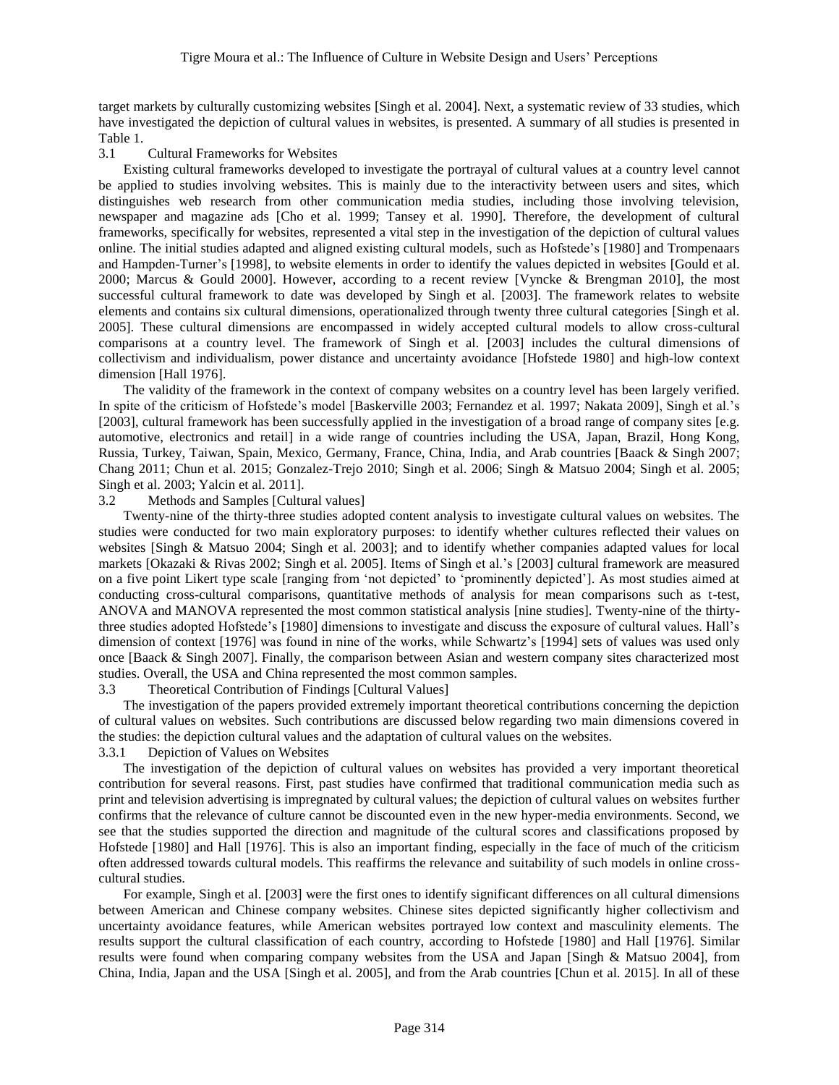target markets by culturally customizing websites [Singh et al. 2004]. Next, a systematic review of 33 studies, which have investigated the depiction of cultural values in websites, is presented. A summary of all studies is presented in Table 1.

## 3.1 Cultural Frameworks for Websites

Existing cultural frameworks developed to investigate the portrayal of cultural values at a country level cannot be applied to studies involving websites. This is mainly due to the interactivity between users and sites, which distinguishes web research from other communication media studies, including those involving television, newspaper and magazine ads [Cho et al. 1999; Tansey et al. 1990]. Therefore, the development of cultural frameworks, specifically for websites, represented a vital step in the investigation of the depiction of cultural values online. The initial studies adapted and aligned existing cultural models, such as Hofstede's [1980] and Trompenaars and Hampden-Turner's [1998], to website elements in order to identify the values depicted in websites [Gould et al. 2000; Marcus & Gould 2000]. However, according to a recent review [Vyncke & Brengman 2010], the most successful cultural framework to date was developed by Singh et al. [2003]. The framework relates to website elements and contains six cultural dimensions, operationalized through twenty three cultural categories [Singh et al. 2005]. These cultural dimensions are encompassed in widely accepted cultural models to allow cross-cultural comparisons at a country level. The framework of Singh et al. [2003] includes the cultural dimensions of collectivism and individualism, power distance and uncertainty avoidance [Hofstede 1980] and high-low context dimension [Hall 1976].

The validity of the framework in the context of company websites on a country level has been largely verified. In spite of the criticism of Hofstede's model [Baskerville 2003; Fernandez et al. 1997; Nakata 2009], Singh et al.'s [2003], cultural framework has been successfully applied in the investigation of a broad range of company sites [e.g. automotive, electronics and retail] in a wide range of countries including the USA, Japan, Brazil, Hong Kong, Russia, Turkey, Taiwan, Spain, Mexico, Germany, France, China, India, and Arab countries [Baack & Singh 2007; Chang 2011; Chun et al. 2015; Gonzalez-Trejo 2010; Singh et al. 2006; Singh & Matsuo 2004; Singh et al. 2005; Singh et al. 2003; Yalcin et al. 2011].

### 3.2 Methods and Samples [Cultural values]

Twenty-nine of the thirty-three studies adopted content analysis to investigate cultural values on websites. The studies were conducted for two main exploratory purposes: to identify whether cultures reflected their values on websites [Singh & Matsuo 2004; Singh et al. 2003]; and to identify whether companies adapted values for local markets [Okazaki & Rivas 2002; Singh et al. 2005]. Items of Singh et al.'s [2003] cultural framework are measured on a five point Likert type scale [ranging from 'not depicted' to 'prominently depicted']. As most studies aimed at conducting cross-cultural comparisons, quantitative methods of analysis for mean comparisons such as t-test, ANOVA and MANOVA represented the most common statistical analysis [nine studies]. Twenty-nine of the thirtythree studies adopted Hofstede's [1980] dimensions to investigate and discuss the exposure of cultural values. Hall's dimension of context [1976] was found in nine of the works, while Schwartz's [1994] sets of values was used only once [Baack & Singh 2007]. Finally, the comparison between Asian and western company sites characterized most studies. Overall, the USA and China represented the most common samples.

### 3.3 Theoretical Contribution of Findings [Cultural Values]

The investigation of the papers provided extremely important theoretical contributions concerning the depiction of cultural values on websites. Such contributions are discussed below regarding two main dimensions covered in the studies: the depiction cultural values and the adaptation of cultural values on the websites.

# 3.3.1 Depiction of Values on Websites

The investigation of the depiction of cultural values on websites has provided a very important theoretical contribution for several reasons. First, past studies have confirmed that traditional communication media such as print and television advertising is impregnated by cultural values; the depiction of cultural values on websites further confirms that the relevance of culture cannot be discounted even in the new hyper-media environments. Second, we see that the studies supported the direction and magnitude of the cultural scores and classifications proposed by Hofstede [1980] and Hall [1976]. This is also an important finding, especially in the face of much of the criticism often addressed towards cultural models. This reaffirms the relevance and suitability of such models in online crosscultural studies.

For example, Singh et al. [2003] were the first ones to identify significant differences on all cultural dimensions between American and Chinese company websites. Chinese sites depicted significantly higher collectivism and uncertainty avoidance features, while American websites portrayed low context and masculinity elements. The results support the cultural classification of each country, according to Hofstede [1980] and Hall [1976]. Similar results were found when comparing company websites from the USA and Japan [Singh & Matsuo 2004], from China, India, Japan and the USA [Singh et al. 2005], and from the Arab countries [Chun et al. 2015]. In all of these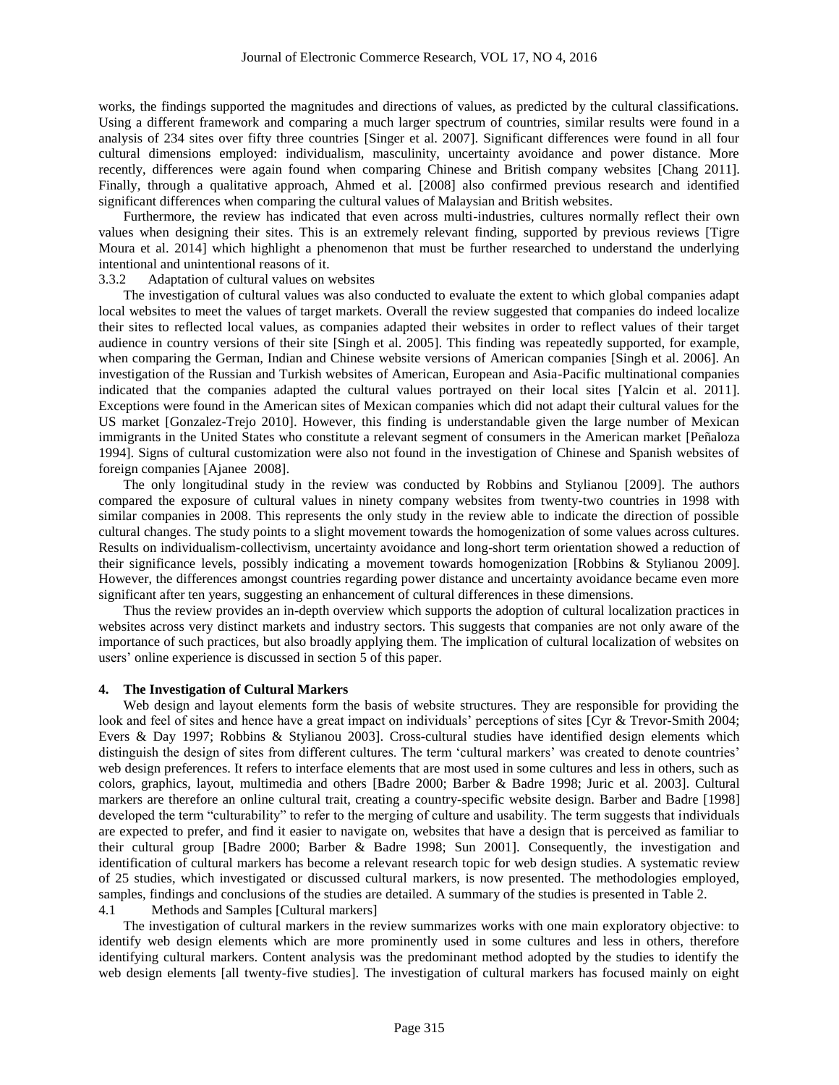works, the findings supported the magnitudes and directions of values, as predicted by the cultural classifications. Using a different framework and comparing a much larger spectrum of countries, similar results were found in a analysis of 234 sites over fifty three countries [Singer et al. 2007]. Significant differences were found in all four cultural dimensions employed: individualism, masculinity, uncertainty avoidance and power distance. More recently, differences were again found when comparing Chinese and British company websites [Chang 2011]. Finally, through a qualitative approach, Ahmed et al. [2008] also confirmed previous research and identified significant differences when comparing the cultural values of Malaysian and British websites.

Furthermore, the review has indicated that even across multi-industries, cultures normally reflect their own values when designing their sites. This is an extremely relevant finding, supported by previous reviews [Tigre Moura et al. 2014] which highlight a phenomenon that must be further researched to understand the underlying intentional and unintentional reasons of it.

## 3.3.2 Adaptation of cultural values on websites

The investigation of cultural values was also conducted to evaluate the extent to which global companies adapt local websites to meet the values of target markets. Overall the review suggested that companies do indeed localize their sites to reflected local values, as companies adapted their websites in order to reflect values of their target audience in country versions of their site [Singh et al. 2005]. This finding was repeatedly supported, for example, when comparing the German, Indian and Chinese website versions of American companies [Singh et al. 2006]. An investigation of the Russian and Turkish websites of American, European and Asia-Pacific multinational companies indicated that the companies adapted the cultural values portrayed on their local sites [Yalcin et al. 2011]. Exceptions were found in the American sites of Mexican companies which did not adapt their cultural values for the US market [Gonzalez-Trejo 2010]. However, this finding is understandable given the large number of Mexican immigrants in the United States who constitute a relevant segment of consumers in the American market [Peñaloza 1994]. Signs of cultural customization were also not found in the investigation of Chinese and Spanish websites of foreign companies [Ajanee 2008].

The only longitudinal study in the review was conducted by Robbins and Stylianou [2009]. The authors compared the exposure of cultural values in ninety company websites from twenty-two countries in 1998 with similar companies in 2008. This represents the only study in the review able to indicate the direction of possible cultural changes. The study points to a slight movement towards the homogenization of some values across cultures. Results on individualism-collectivism, uncertainty avoidance and long-short term orientation showed a reduction of their significance levels, possibly indicating a movement towards homogenization [Robbins & Stylianou 2009]. However, the differences amongst countries regarding power distance and uncertainty avoidance became even more significant after ten years, suggesting an enhancement of cultural differences in these dimensions.

Thus the review provides an in-depth overview which supports the adoption of cultural localization practices in websites across very distinct markets and industry sectors. This suggests that companies are not only aware of the importance of such practices, but also broadly applying them. The implication of cultural localization of websites on users' online experience is discussed in section 5 of this paper.

#### **4. The Investigation of Cultural Markers**

Web design and layout elements form the basis of website structures. They are responsible for providing the look and feel of sites and hence have a great impact on individuals' perceptions of sites [Cyr & Trevor-Smith 2004; Evers & Day 1997; Robbins & Stylianou 2003]. Cross-cultural studies have identified design elements which distinguish the design of sites from different cultures. The term 'cultural markers' was created to denote countries' web design preferences. It refers to interface elements that are most used in some cultures and less in others, such as colors, graphics, layout, multimedia and others [Badre 2000; Barber & Badre 1998; Juric et al. 2003]. Cultural markers are therefore an online cultural trait, creating a country-specific website design. Barber and Badre [1998] developed the term "culturability" to refer to the merging of culture and usability. The term suggests that individuals are expected to prefer, and find it easier to navigate on, websites that have a design that is perceived as familiar to their cultural group [Badre 2000; Barber & Badre 1998; Sun 2001]. Consequently, the investigation and identification of cultural markers has become a relevant research topic for web design studies. A systematic review of 25 studies, which investigated or discussed cultural markers, is now presented. The methodologies employed, samples, findings and conclusions of the studies are detailed. A summary of the studies is presented in Table 2.

4.1 Methods and Samples [Cultural markers]

The investigation of cultural markers in the review summarizes works with one main exploratory objective: to identify web design elements which are more prominently used in some cultures and less in others, therefore identifying cultural markers. Content analysis was the predominant method adopted by the studies to identify the web design elements [all twenty-five studies]. The investigation of cultural markers has focused mainly on eight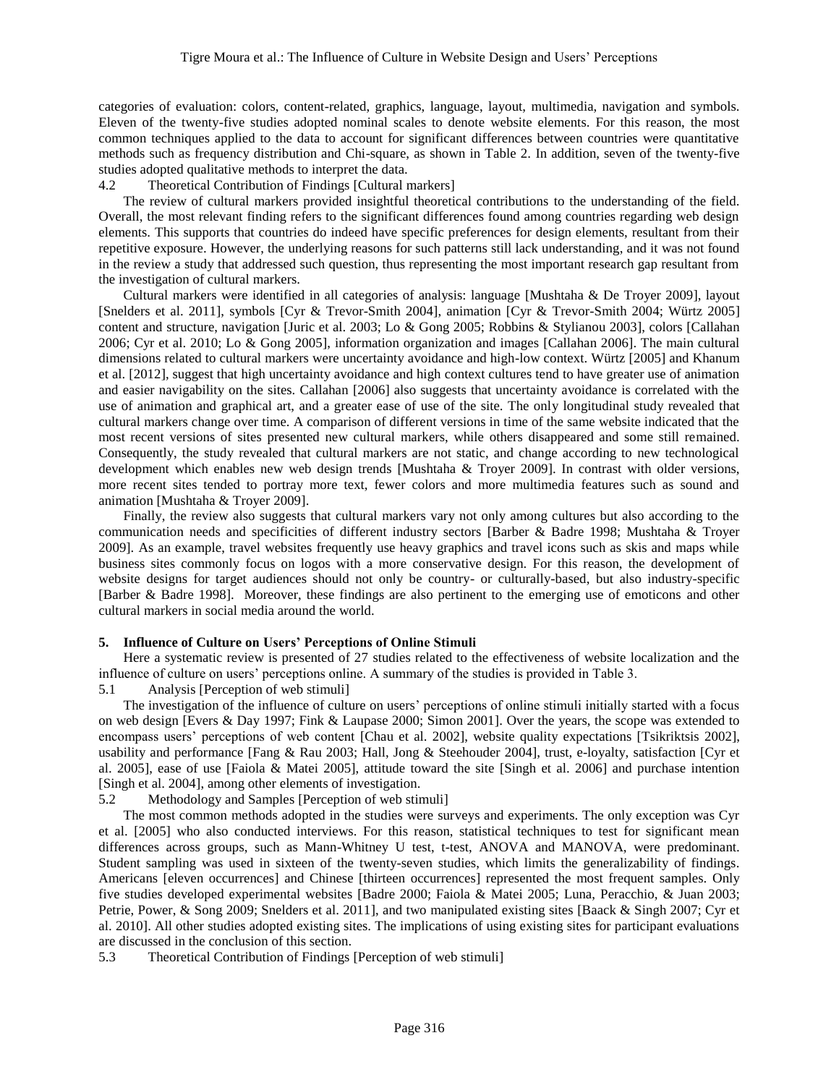categories of evaluation: colors, content-related, graphics, language, layout, multimedia, navigation and symbols. Eleven of the twenty-five studies adopted nominal scales to denote website elements. For this reason, the most common techniques applied to the data to account for significant differences between countries were quantitative methods such as frequency distribution and Chi-square, as shown in Table 2. In addition, seven of the twenty-five studies adopted qualitative methods to interpret the data.

## 4.2 Theoretical Contribution of Findings [Cultural markers]

The review of cultural markers provided insightful theoretical contributions to the understanding of the field. Overall, the most relevant finding refers to the significant differences found among countries regarding web design elements. This supports that countries do indeed have specific preferences for design elements, resultant from their repetitive exposure. However, the underlying reasons for such patterns still lack understanding, and it was not found in the review a study that addressed such question, thus representing the most important research gap resultant from the investigation of cultural markers.

Cultural markers were identified in all categories of analysis: language [Mushtaha & De Troyer 2009], layout [Snelders et al. 2011], symbols [Cyr & Trevor-Smith 2004], animation [Cyr & Trevor-Smith 2004; Würtz 2005] content and structure, navigation [Juric et al. 2003; Lo & Gong 2005; Robbins & Stylianou 2003], colors [Callahan 2006; Cyr et al. 2010; Lo & Gong 2005], information organization and images [Callahan 2006]. The main cultural dimensions related to cultural markers were uncertainty avoidance and high-low context. Würtz [2005] and Khanum et al. [2012], suggest that high uncertainty avoidance and high context cultures tend to have greater use of animation and easier navigability on the sites. Callahan [2006] also suggests that uncertainty avoidance is correlated with the use of animation and graphical art, and a greater ease of use of the site. The only longitudinal study revealed that cultural markers change over time. A comparison of different versions in time of the same website indicated that the most recent versions of sites presented new cultural markers, while others disappeared and some still remained. Consequently, the study revealed that cultural markers are not static, and change according to new technological development which enables new web design trends [Mushtaha & Troyer 2009]. In contrast with older versions, more recent sites tended to portray more text, fewer colors and more multimedia features such as sound and animation [Mushtaha & Troyer 2009].

Finally, the review also suggests that cultural markers vary not only among cultures but also according to the communication needs and specificities of different industry sectors [Barber & Badre 1998; Mushtaha & Troyer 2009]. As an example, travel websites frequently use heavy graphics and travel icons such as skis and maps while business sites commonly focus on logos with a more conservative design. For this reason, the development of website designs for target audiences should not only be country- or culturally-based, but also industry-specific [Barber & Badre 1998]. Moreover, these findings are also pertinent to the emerging use of emoticons and other cultural markers in social media around the world.

### **5. Influence of Culture on Users' Perceptions of Online Stimuli**

Here a systematic review is presented of 27 studies related to the effectiveness of website localization and the influence of culture on users' perceptions online. A summary of the studies is provided in Table 3.

5.1 Analysis [Perception of web stimuli]

The investigation of the influence of culture on users' perceptions of online stimuli initially started with a focus on web design [Evers & Day 1997; Fink & Laupase 2000; Simon 2001]. Over the years, the scope was extended to encompass users' perceptions of web content [Chau et al. 2002], website quality expectations [Tsikriktsis 2002], usability and performance [Fang & Rau 2003; Hall, Jong & Steehouder 2004], trust, e-loyalty, satisfaction [Cyr et al. 2005], ease of use [Faiola & Matei 2005], attitude toward the site [Singh et al. 2006] and purchase intention [Singh et al. 2004], among other elements of investigation.

5.2 Methodology and Samples [Perception of web stimuli]

The most common methods adopted in the studies were surveys and experiments. The only exception was Cyr et al. [2005] who also conducted interviews. For this reason, statistical techniques to test for significant mean differences across groups, such as Mann-Whitney U test, t-test, ANOVA and MANOVA, were predominant. Student sampling was used in sixteen of the twenty-seven studies, which limits the generalizability of findings. Americans [eleven occurrences] and Chinese [thirteen occurrences] represented the most frequent samples. Only five studies developed experimental websites [Badre 2000; Faiola & Matei 2005; Luna, Peracchio, & Juan 2003; Petrie, Power, & Song 2009; Snelders et al. 2011], and two manipulated existing sites [Baack & Singh 2007; Cyr et al. 2010]. All other studies adopted existing sites. The implications of using existing sites for participant evaluations are discussed in the conclusion of this section.

5.3 Theoretical Contribution of Findings [Perception of web stimuli]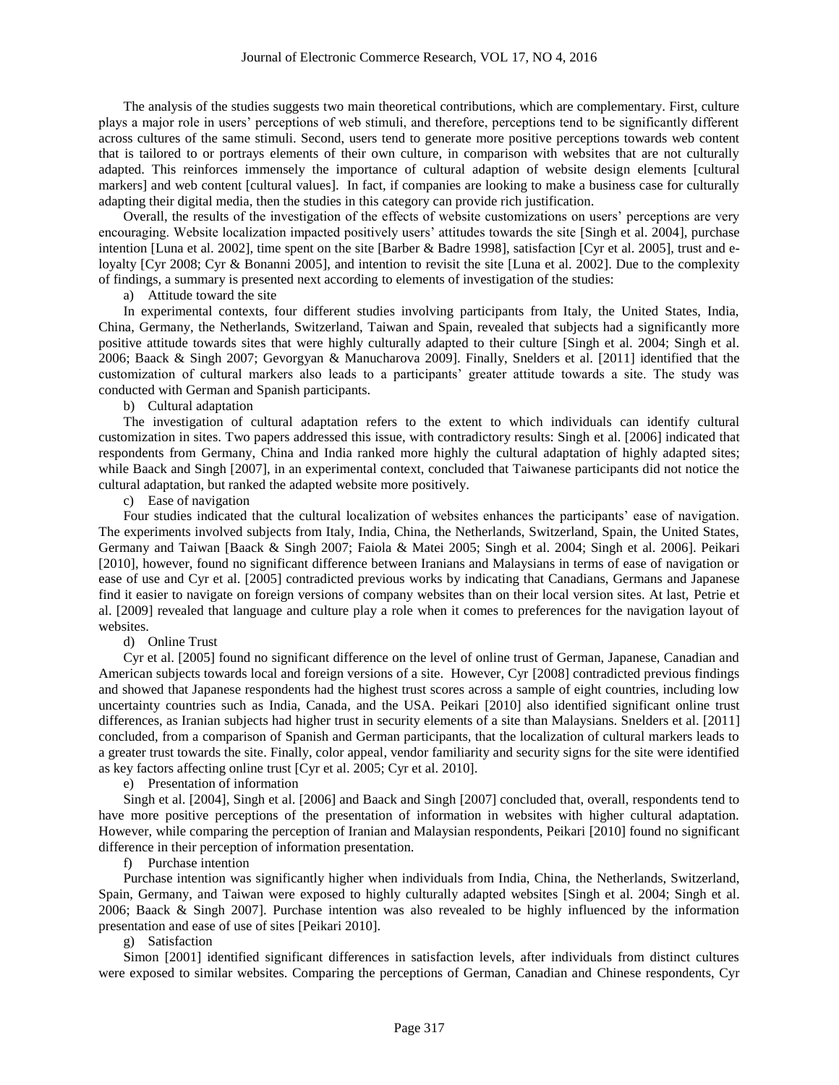The analysis of the studies suggests two main theoretical contributions, which are complementary. First, culture plays a major role in users' perceptions of web stimuli, and therefore, perceptions tend to be significantly different across cultures of the same stimuli. Second, users tend to generate more positive perceptions towards web content that is tailored to or portrays elements of their own culture, in comparison with websites that are not culturally adapted. This reinforces immensely the importance of cultural adaption of website design elements [cultural markers] and web content [cultural values]. In fact, if companies are looking to make a business case for culturally adapting their digital media, then the studies in this category can provide rich justification.

Overall, the results of the investigation of the effects of website customizations on users' perceptions are very encouraging. Website localization impacted positively users' attitudes towards the site [Singh et al. 2004], purchase intention [Luna et al. 2002], time spent on the site [Barber & Badre 1998], satisfaction [Cyr et al. 2005], trust and eloyalty [Cyr 2008; Cyr & Bonanni 2005], and intention to revisit the site [Luna et al. 2002]. Due to the complexity of findings, a summary is presented next according to elements of investigation of the studies:

a) Attitude toward the site

In experimental contexts, four different studies involving participants from Italy, the United States, India, China, Germany, the Netherlands, Switzerland, Taiwan and Spain, revealed that subjects had a significantly more positive attitude towards sites that were highly culturally adapted to their culture [Singh et al. 2004; Singh et al. 2006; Baack & Singh 2007; Gevorgyan & Manucharova 2009]. Finally, Snelders et al. [2011] identified that the customization of cultural markers also leads to a participants' greater attitude towards a site. The study was conducted with German and Spanish participants.

b) Cultural adaptation

The investigation of cultural adaptation refers to the extent to which individuals can identify cultural customization in sites. Two papers addressed this issue, with contradictory results: Singh et al. [2006] indicated that respondents from Germany, China and India ranked more highly the cultural adaptation of highly adapted sites; while Baack and Singh [2007], in an experimental context, concluded that Taiwanese participants did not notice the cultural adaptation, but ranked the adapted website more positively.

c) Ease of navigation

Four studies indicated that the cultural localization of websites enhances the participants' ease of navigation. The experiments involved subjects from Italy, India, China, the Netherlands, Switzerland, Spain, the United States, Germany and Taiwan [Baack & Singh 2007; Faiola & Matei 2005; Singh et al. 2004; Singh et al. 2006]. Peikari [2010], however, found no significant difference between Iranians and Malaysians in terms of ease of navigation or ease of use and Cyr et al. [2005] contradicted previous works by indicating that Canadians, Germans and Japanese find it easier to navigate on foreign versions of company websites than on their local version sites. At last, Petrie et al. [2009] revealed that language and culture play a role when it comes to preferences for the navigation layout of websites.

d) Online Trust

Cyr et al. [2005] found no significant difference on the level of online trust of German, Japanese, Canadian and American subjects towards local and foreign versions of a site. However, Cyr [2008] contradicted previous findings and showed that Japanese respondents had the highest trust scores across a sample of eight countries, including low uncertainty countries such as India, Canada, and the USA. Peikari [2010] also identified significant online trust differences, as Iranian subjects had higher trust in security elements of a site than Malaysians. Snelders et al. [2011] concluded, from a comparison of Spanish and German participants, that the localization of cultural markers leads to a greater trust towards the site. Finally, color appeal, vendor familiarity and security signs for the site were identified as key factors affecting online trust [Cyr et al. 2005; Cyr et al. 2010].

e) Presentation of information

Singh et al. [2004], Singh et al. [2006] and Baack and Singh [2007] concluded that, overall, respondents tend to have more positive perceptions of the presentation of information in websites with higher cultural adaptation. However, while comparing the perception of Iranian and Malaysian respondents, Peikari [2010] found no significant difference in their perception of information presentation.

f) Purchase intention

Purchase intention was significantly higher when individuals from India, China, the Netherlands, Switzerland, Spain, Germany, and Taiwan were exposed to highly culturally adapted websites [Singh et al. 2004; Singh et al. 2006; Baack & Singh 2007]. Purchase intention was also revealed to be highly influenced by the information presentation and ease of use of sites [Peikari 2010].

g) Satisfaction

Simon [2001] identified significant differences in satisfaction levels, after individuals from distinct cultures were exposed to similar websites. Comparing the perceptions of German, Canadian and Chinese respondents, Cyr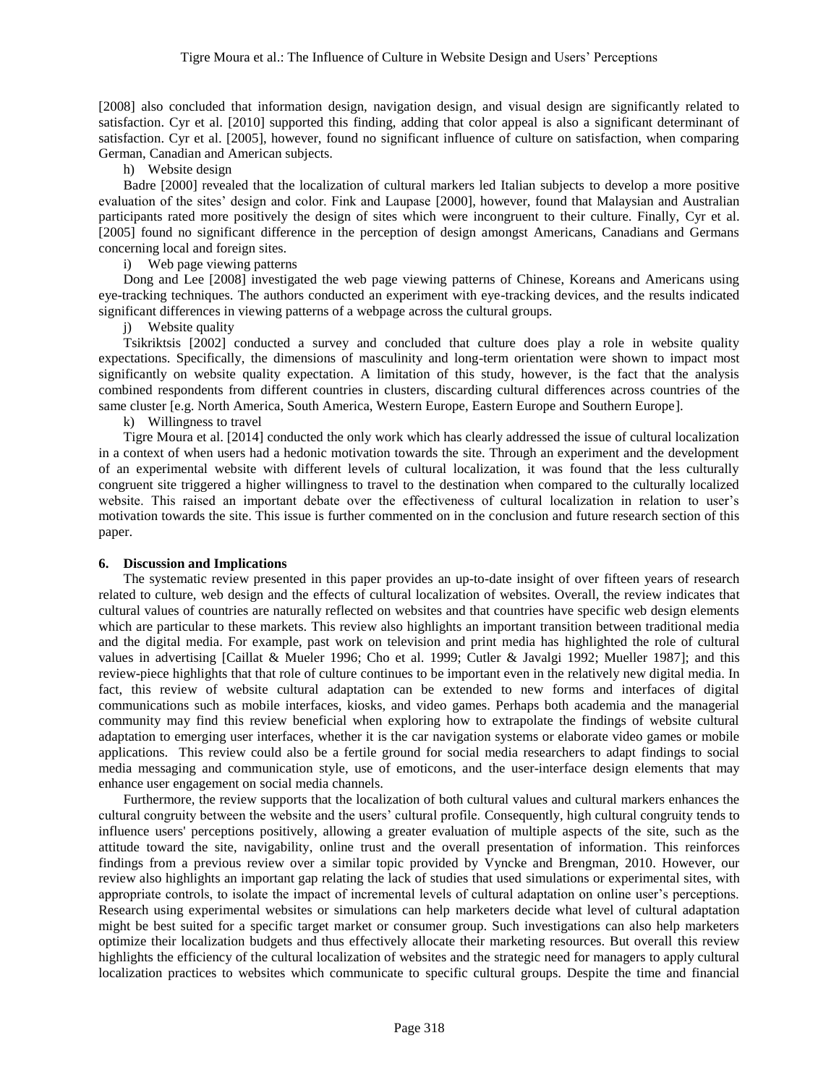[2008] also concluded that information design, navigation design, and visual design are significantly related to satisfaction. Cyr et al. [2010] supported this finding, adding that color appeal is also a significant determinant of satisfaction. Cyr et al. [2005], however, found no significant influence of culture on satisfaction, when comparing German, Canadian and American subjects.

h) Website design

Badre [2000] revealed that the localization of cultural markers led Italian subjects to develop a more positive evaluation of the sites' design and color. Fink and Laupase [2000], however, found that Malaysian and Australian participants rated more positively the design of sites which were incongruent to their culture. Finally, Cyr et al. [2005] found no significant difference in the perception of design amongst Americans, Canadians and Germans concerning local and foreign sites.

i) Web page viewing patterns

Dong and Lee [2008] investigated the web page viewing patterns of Chinese, Koreans and Americans using eye-tracking techniques. The authors conducted an experiment with eye-tracking devices, and the results indicated significant differences in viewing patterns of a webpage across the cultural groups.

j) Website quality

Tsikriktsis [2002] conducted a survey and concluded that culture does play a role in website quality expectations. Specifically, the dimensions of masculinity and long-term orientation were shown to impact most significantly on website quality expectation. A limitation of this study, however, is the fact that the analysis combined respondents from different countries in clusters, discarding cultural differences across countries of the same cluster [e.g. North America, South America, Western Europe, Eastern Europe and Southern Europe].

k) Willingness to travel

Tigre Moura et al. [2014] conducted the only work which has clearly addressed the issue of cultural localization in a context of when users had a hedonic motivation towards the site. Through an experiment and the development of an experimental website with different levels of cultural localization, it was found that the less culturally congruent site triggered a higher willingness to travel to the destination when compared to the culturally localized website. This raised an important debate over the effectiveness of cultural localization in relation to user's motivation towards the site. This issue is further commented on in the conclusion and future research section of this paper.

## **6. Discussion and Implications**

The systematic review presented in this paper provides an up-to-date insight of over fifteen years of research related to culture, web design and the effects of cultural localization of websites. Overall, the review indicates that cultural values of countries are naturally reflected on websites and that countries have specific web design elements which are particular to these markets. This review also highlights an important transition between traditional media and the digital media. For example, past work on television and print media has highlighted the role of cultural values in advertising [Caillat & Mueler 1996; Cho et al. 1999; Cutler & Javalgi 1992; Mueller 1987]; and this review-piece highlights that that role of culture continues to be important even in the relatively new digital media. In fact, this review of website cultural adaptation can be extended to new forms and interfaces of digital communications such as mobile interfaces, kiosks, and video games. Perhaps both academia and the managerial community may find this review beneficial when exploring how to extrapolate the findings of website cultural adaptation to emerging user interfaces, whether it is the car navigation systems or elaborate video games or mobile applications. This review could also be a fertile ground for social media researchers to adapt findings to social media messaging and communication style, use of emoticons, and the user-interface design elements that may enhance user engagement on social media channels.

Furthermore, the review supports that the localization of both cultural values and cultural markers enhances the cultural congruity between the website and the users' cultural profile. Consequently, high cultural congruity tends to influence users' perceptions positively, allowing a greater evaluation of multiple aspects of the site, such as the attitude toward the site, navigability, online trust and the overall presentation of information. This reinforces findings from a previous review over a similar topic provided by Vyncke and Brengman, 2010. However, our review also highlights an important gap relating the lack of studies that used simulations or experimental sites, with appropriate controls, to isolate the impact of incremental levels of cultural adaptation on online user's perceptions. Research using experimental websites or simulations can help marketers decide what level of cultural adaptation might be best suited for a specific target market or consumer group. Such investigations can also help marketers optimize their localization budgets and thus effectively allocate their marketing resources. But overall this review highlights the efficiency of the cultural localization of websites and the strategic need for managers to apply cultural localization practices to websites which communicate to specific cultural groups. Despite the time and financial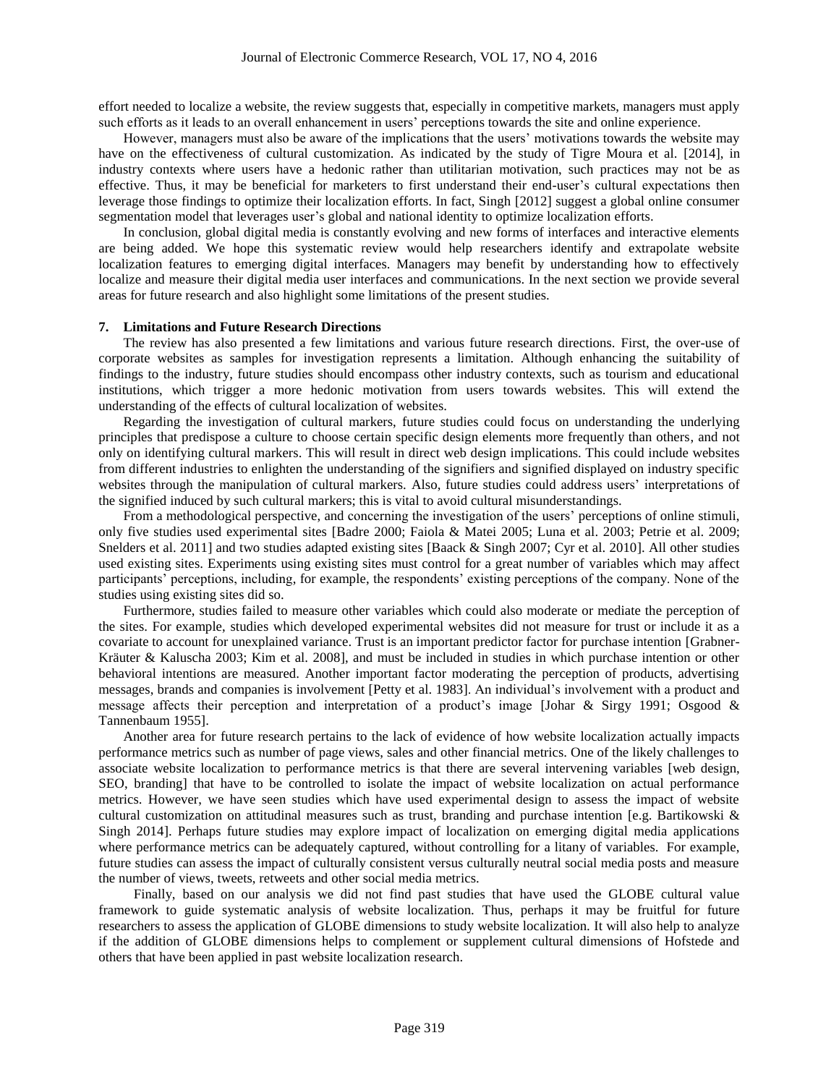effort needed to localize a website, the review suggests that, especially in competitive markets, managers must apply such efforts as it leads to an overall enhancement in users' perceptions towards the site and online experience.

However, managers must also be aware of the implications that the users' motivations towards the website may have on the effectiveness of cultural customization. As indicated by the study of Tigre Moura et al. [2014], in industry contexts where users have a hedonic rather than utilitarian motivation, such practices may not be as effective. Thus, it may be beneficial for marketers to first understand their end-user's cultural expectations then leverage those findings to optimize their localization efforts. In fact, Singh [2012] suggest a global online consumer segmentation model that leverages user's global and national identity to optimize localization efforts.

In conclusion, global digital media is constantly evolving and new forms of interfaces and interactive elements are being added. We hope this systematic review would help researchers identify and extrapolate website localization features to emerging digital interfaces. Managers may benefit by understanding how to effectively localize and measure their digital media user interfaces and communications. In the next section we provide several areas for future research and also highlight some limitations of the present studies.

#### **7. Limitations and Future Research Directions**

The review has also presented a few limitations and various future research directions. First, the over-use of corporate websites as samples for investigation represents a limitation. Although enhancing the suitability of findings to the industry, future studies should encompass other industry contexts, such as tourism and educational institutions, which trigger a more hedonic motivation from users towards websites. This will extend the understanding of the effects of cultural localization of websites.

Regarding the investigation of cultural markers, future studies could focus on understanding the underlying principles that predispose a culture to choose certain specific design elements more frequently than others, and not only on identifying cultural markers. This will result in direct web design implications. This could include websites from different industries to enlighten the understanding of the signifiers and signified displayed on industry specific websites through the manipulation of cultural markers. Also, future studies could address users' interpretations of the signified induced by such cultural markers; this is vital to avoid cultural misunderstandings.

From a methodological perspective, and concerning the investigation of the users' perceptions of online stimuli, only five studies used experimental sites [Badre 2000; Faiola & Matei 2005; Luna et al. 2003; Petrie et al. 2009; Snelders et al. 2011] and two studies adapted existing sites [Baack & Singh 2007; Cyr et al. 2010]. All other studies used existing sites. Experiments using existing sites must control for a great number of variables which may affect participants' perceptions, including, for example, the respondents' existing perceptions of the company. None of the studies using existing sites did so.

Furthermore, studies failed to measure other variables which could also moderate or mediate the perception of the sites. For example, studies which developed experimental websites did not measure for trust or include it as a covariate to account for unexplained variance. Trust is an important predictor factor for purchase intention [Grabner-Kräuter & Kaluscha 2003; Kim et al. 2008], and must be included in studies in which purchase intention or other behavioral intentions are measured. Another important factor moderating the perception of products, advertising messages, brands and companies is involvement [Petty et al. 1983]. An individual's involvement with a product and message affects their perception and interpretation of a product's image [Johar & Sirgy 1991; Osgood & Tannenbaum 1955].

Another area for future research pertains to the lack of evidence of how website localization actually impacts performance metrics such as number of page views, sales and other financial metrics. One of the likely challenges to associate website localization to performance metrics is that there are several intervening variables [web design, SEO, branding] that have to be controlled to isolate the impact of website localization on actual performance metrics. However, we have seen studies which have used experimental design to assess the impact of website cultural customization on attitudinal measures such as trust, branding and purchase intention [e.g. Bartikowski & Singh 2014]. Perhaps future studies may explore impact of localization on emerging digital media applications where performance metrics can be adequately captured, without controlling for a litany of variables. For example, future studies can assess the impact of culturally consistent versus culturally neutral social media posts and measure the number of views, tweets, retweets and other social media metrics.

 Finally, based on our analysis we did not find past studies that have used the GLOBE cultural value framework to guide systematic analysis of website localization. Thus, perhaps it may be fruitful for future researchers to assess the application of GLOBE dimensions to study website localization. It will also help to analyze if the addition of GLOBE dimensions helps to complement or supplement cultural dimensions of Hofstede and others that have been applied in past website localization research.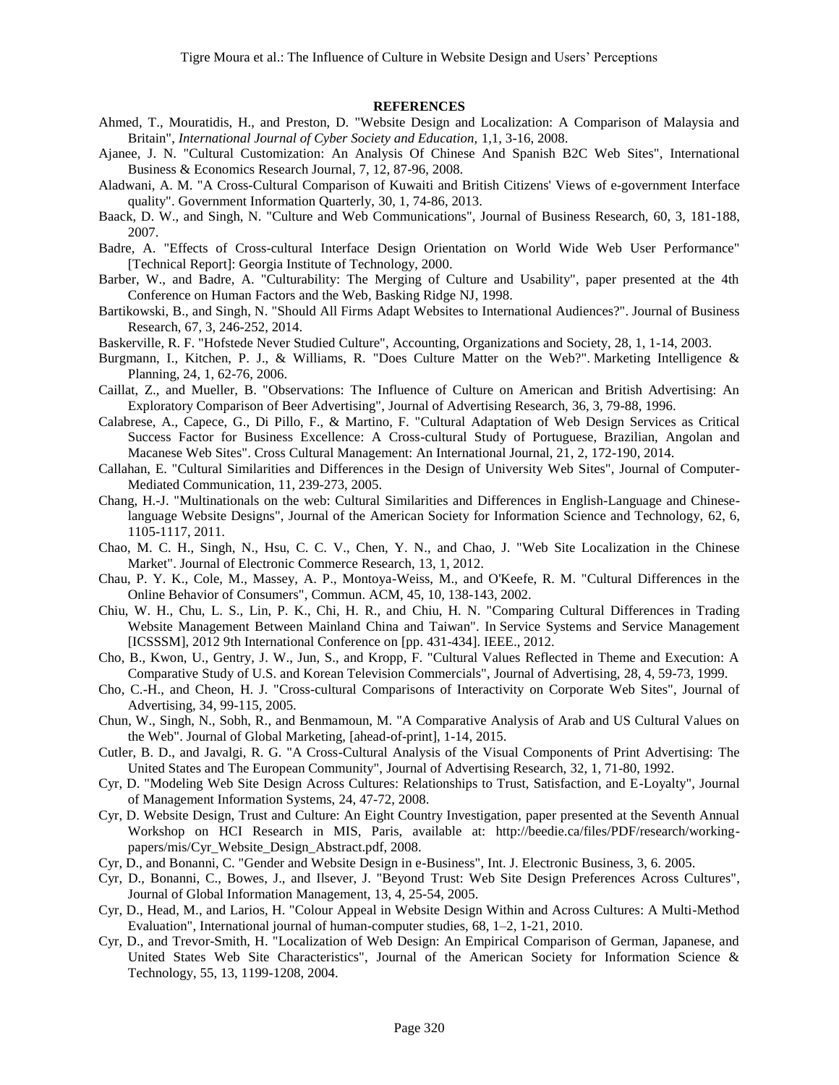#### **REFERENCES**

- Ahmed, T., Mouratidis, H., and Preston, D. "Website Design and Localization: A Comparison of Malaysia and Britain", *International Journal of Cyber Society and Education,* 1,1, 3-16, 2008.
- Ajanee, J. N. "Cultural Customization: An Analysis Of Chinese And Spanish B2C Web Sites", International Business & Economics Research Journal, 7, 12, 87-96, 2008.
- Aladwani, A. M. "A Cross-Cultural Comparison of Kuwaiti and British Citizens' Views of e-government Interface quality". Government Information Quarterly, 30, 1, 74-86, 2013.
- Baack, D. W., and Singh, N. "Culture and Web Communications", Journal of Business Research, 60, 3, 181-188, 2007.
- Badre, A. "Effects of Cross-cultural Interface Design Orientation on World Wide Web User Performance" [Technical Report]: Georgia Institute of Technology, 2000.
- Barber, W., and Badre, A. "Culturability: The Merging of Culture and Usability", paper presented at the 4th Conference on Human Factors and the Web, Basking Ridge NJ, 1998.
- Bartikowski, B., and Singh, N. "Should All Firms Adapt Websites to International Audiences?". Journal of Business Research, 67, 3, 246-252, 2014.
- Baskerville, R. F. "Hofstede Never Studied Culture", Accounting, Organizations and Society, 28, 1, 1-14, 2003.
- Burgmann, I., Kitchen, P. J., & Williams, R. "Does Culture Matter on the Web?". Marketing Intelligence & Planning, 24, 1, 62-76, 2006.
- Caillat, Z., and Mueller, B. "Observations: The Influence of Culture on American and British Advertising: An Exploratory Comparison of Beer Advertising", Journal of Advertising Research, 36, 3, 79-88, 1996.
- Calabrese, A., Capece, G., Di Pillo, F., & Martino, F. "Cultural Adaptation of Web Design Services as Critical Success Factor for Business Excellence: A Cross-cultural Study of Portuguese, Brazilian, Angolan and Macanese Web Sites". Cross Cultural Management: An International Journal, 21, 2, 172-190, 2014.
- Callahan, E. "Cultural Similarities and Differences in the Design of University Web Sites", Journal of Computer-Mediated Communication, 11, 239-273, 2005.
- Chang, H.-J. "Multinationals on the web: Cultural Similarities and Differences in English-Language and Chineselanguage Website Designs", Journal of the American Society for Information Science and Technology, 62, 6, 1105-1117, 2011.
- Chao, M. C. H., Singh, N., Hsu, C. C. V., Chen, Y. N., and Chao, J. "Web Site Localization in the Chinese Market". Journal of Electronic Commerce Research, 13, 1, 2012.
- Chau, P. Y. K., Cole, M., Massey, A. P., Montoya-Weiss, M., and O'Keefe, R. M. "Cultural Differences in the Online Behavior of Consumers", Commun. ACM, 45, 10, 138-143, 2002.
- Chiu, W. H., Chu, L. S., Lin, P. K., Chi, H. R., and Chiu, H. N. "Comparing Cultural Differences in Trading Website Management Between Mainland China and Taiwan". In Service Systems and Service Management [ICSSSM], 2012 9th International Conference on [pp. 431-434]. IEEE., 2012.
- Cho, B., Kwon, U., Gentry, J. W., Jun, S., and Kropp, F. "Cultural Values Reflected in Theme and Execution: A Comparative Study of U.S. and Korean Television Commercials", Journal of Advertising, 28, 4, 59-73, 1999.
- Cho, C.-H., and Cheon, H. J. "Cross-cultural Comparisons of Interactivity on Corporate Web Sites", Journal of Advertising, 34, 99-115, 2005.
- Chun, W., Singh, N., Sobh, R., and Benmamoun, M. "A Comparative Analysis of Arab and US Cultural Values on the Web". Journal of Global Marketing, [ahead-of-print], 1-14, 2015.
- Cutler, B. D., and Javalgi, R. G. "A Cross-Cultural Analysis of the Visual Components of Print Advertising: The United States and The European Community", Journal of Advertising Research, 32, 1, 71-80, 1992.
- Cyr, D. "Modeling Web Site Design Across Cultures: Relationships to Trust, Satisfaction, and E-Loyalty", Journal of Management Information Systems, 24, 47-72, 2008.
- Cyr, D. Website Design, Trust and Culture: An Eight Country Investigation, paper presented at the Seventh Annual Workshop on HCI Research in MIS, Paris, available at: http://beedie.ca/files/PDF/research/workingpapers/mis/Cyr\_Website\_Design\_Abstract.pdf, 2008.
- Cyr, D., and Bonanni, C. "Gender and Website Design in e-Business", Int. J. Electronic Business, 3, 6. 2005.
- Cyr, D., Bonanni, C., Bowes, J., and Ilsever, J. "Beyond Trust: Web Site Design Preferences Across Cultures", Journal of Global Information Management, 13, 4, 25-54, 2005.
- Cyr, D., Head, M., and Larios, H. "Colour Appeal in Website Design Within and Across Cultures: A Multi-Method Evaluation", International journal of human-computer studies, 68, 1–2, 1-21, 2010.
- Cyr, D., and Trevor-Smith, H. "Localization of Web Design: An Empirical Comparison of German, Japanese, and United States Web Site Characteristics", Journal of the American Society for Information Science & Technology, 55, 13, 1199-1208, 2004.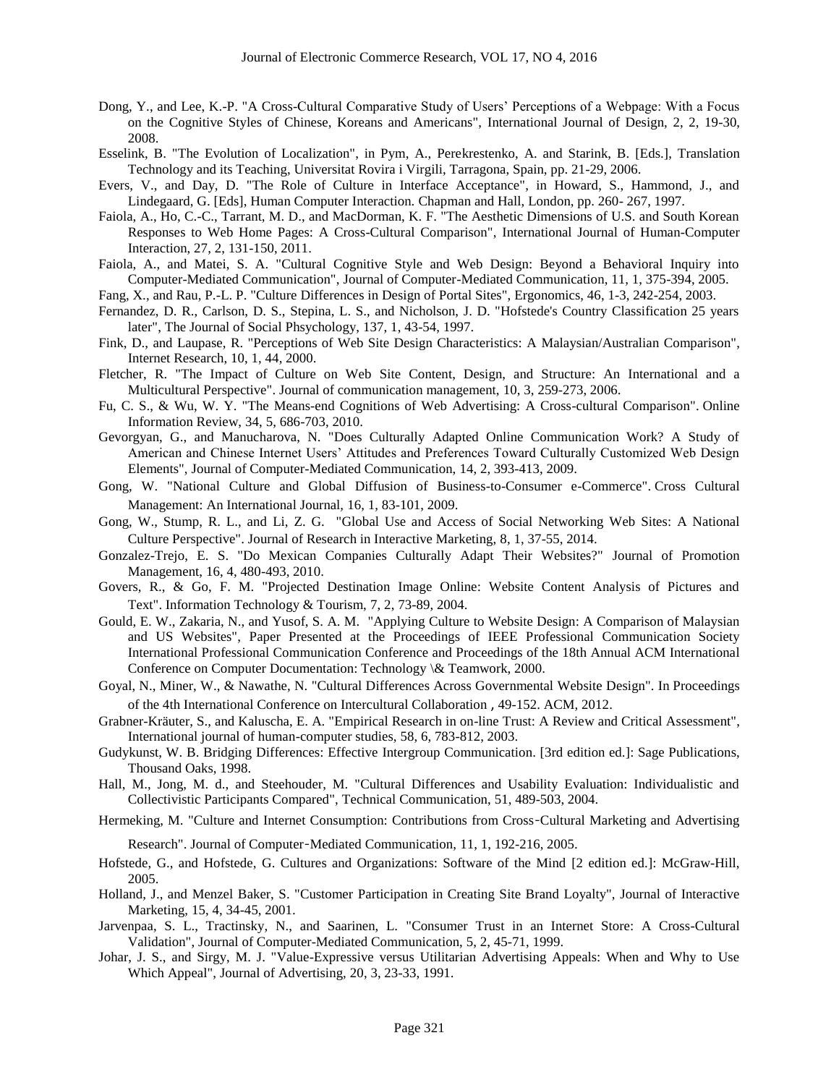- Dong, Y., and Lee, K.-P. "A Cross-Cultural Comparative Study of Users' Perceptions of a Webpage: With a Focus on the Cognitive Styles of Chinese, Koreans and Americans", International Journal of Design, 2, 2, 19-30, 2008.
- Esselink, B. "The Evolution of Localization", in Pym, A., Perekrestenko, A. and Starink, B. [Eds.], Translation Technology and its Teaching, Universitat Rovira i Virgili, Tarragona, Spain, pp. 21-29, 2006.
- Evers, V., and Day, D. "The Role of Culture in Interface Acceptance", in Howard, S., Hammond, J., and Lindegaard, G. [Eds], Human Computer Interaction. Chapman and Hall, London, pp. 260- 267, 1997.
- Faiola, A., Ho, C.-C., Tarrant, M. D., and MacDorman, K. F. "The Aesthetic Dimensions of U.S. and South Korean Responses to Web Home Pages: A Cross-Cultural Comparison", International Journal of Human-Computer Interaction, 27, 2, 131-150, 2011.
- Faiola, A., and Matei, S. A. "Cultural Cognitive Style and Web Design: Beyond a Behavioral Inquiry into Computer-Mediated Communication", Journal of Computer-Mediated Communication, 11, 1, 375-394, 2005.
- Fang, X., and Rau, P.-L. P. "Culture Differences in Design of Portal Sites", Ergonomics, 46, 1-3, 242-254, 2003.
- Fernandez, D. R., Carlson, D. S., Stepina, L. S., and Nicholson, J. D. "Hofstede's Country Classification 25 years later", The Journal of Social Phsychology, 137, 1, 43-54, 1997.
- Fink, D., and Laupase, R. "Perceptions of Web Site Design Characteristics: A Malaysian/Australian Comparison", Internet Research, 10, 1, 44, 2000.
- Fletcher, R. "The Impact of Culture on Web Site Content, Design, and Structure: An International and a Multicultural Perspective". Journal of communication management, 10, 3, 259-273, 2006.
- Fu, C. S., & Wu, W. Y. "The Means-end Cognitions of Web Advertising: A Cross-cultural Comparison". Online Information Review, 34, 5, 686-703, 2010.
- Gevorgyan, G., and Manucharova, N. "Does Culturally Adapted Online Communication Work? A Study of American and Chinese Internet Users' Attitudes and Preferences Toward Culturally Customized Web Design Elements", Journal of Computer-Mediated Communication, 14, 2, 393-413, 2009.
- Gong, W. "National Culture and Global Diffusion of Business-to-Consumer e-Commerce". Cross Cultural Management: An International Journal, 16, 1, 83-101, 2009.
- Gong, W., Stump, R. L., and Li, Z. G. "Global Use and Access of Social Networking Web Sites: A National Culture Perspective". Journal of Research in Interactive Marketing, 8, 1, 37-55, 2014.
- Gonzalez-Trejo, E. S. "Do Mexican Companies Culturally Adapt Their Websites?" Journal of Promotion Management, 16, 4, 480-493, 2010.
- Govers, R., & Go, F. M. "Projected Destination Image Online: Website Content Analysis of Pictures and Text". Information Technology & Tourism, 7, 2, 73-89, 2004.
- Gould, E. W., Zakaria, N., and Yusof, S. A. M. "Applying Culture to Website Design: A Comparison of Malaysian and US Websites", Paper Presented at the Proceedings of IEEE Professional Communication Society International Professional Communication Conference and Proceedings of the 18th Annual ACM International Conference on Computer Documentation: Technology \& Teamwork, 2000.
- Goyal, N., Miner, W., & Nawathe, N. "Cultural Differences Across Governmental Website Design". In Proceedings of the 4th International Conference on Intercultural Collaboration , 49-152. ACM, 2012.
- Grabner-Kräuter, S., and Kaluscha, E. A. "Empirical Research in on-line Trust: A Review and Critical Assessment", International journal of human-computer studies, 58, 6, 783-812, 2003.
- Gudykunst, W. B. Bridging Differences: Effective Intergroup Communication. [3rd edition ed.]: Sage Publications, Thousand Oaks, 1998.
- Hall, M., Jong, M. d., and Steehouder, M. "Cultural Differences and Usability Evaluation: Individualistic and Collectivistic Participants Compared", Technical Communication, 51, 489-503, 2004.
- Hermeking, M. "Culture and Internet Consumption: Contributions from Cross‐Cultural Marketing and Advertising Research". Journal of Computer‐Mediated Communication, 11, 1, 192-216, 2005.
- Hofstede, G., and Hofstede, G. Cultures and Organizations: Software of the Mind [2 edition ed.]: McGraw-Hill, 2005.
- Holland, J., and Menzel Baker, S. "Customer Participation in Creating Site Brand Loyalty", Journal of Interactive Marketing, 15, 4, 34-45, 2001.
- Jarvenpaa, S. L., Tractinsky, N., and Saarinen, L. "Consumer Trust in an Internet Store: A Cross-Cultural Validation", Journal of Computer-Mediated Communication, 5, 2, 45-71, 1999.
- Johar, J. S., and Sirgy, M. J. "Value-Expressive versus Utilitarian Advertising Appeals: When and Why to Use Which Appeal", Journal of Advertising, 20, 3, 23-33, 1991.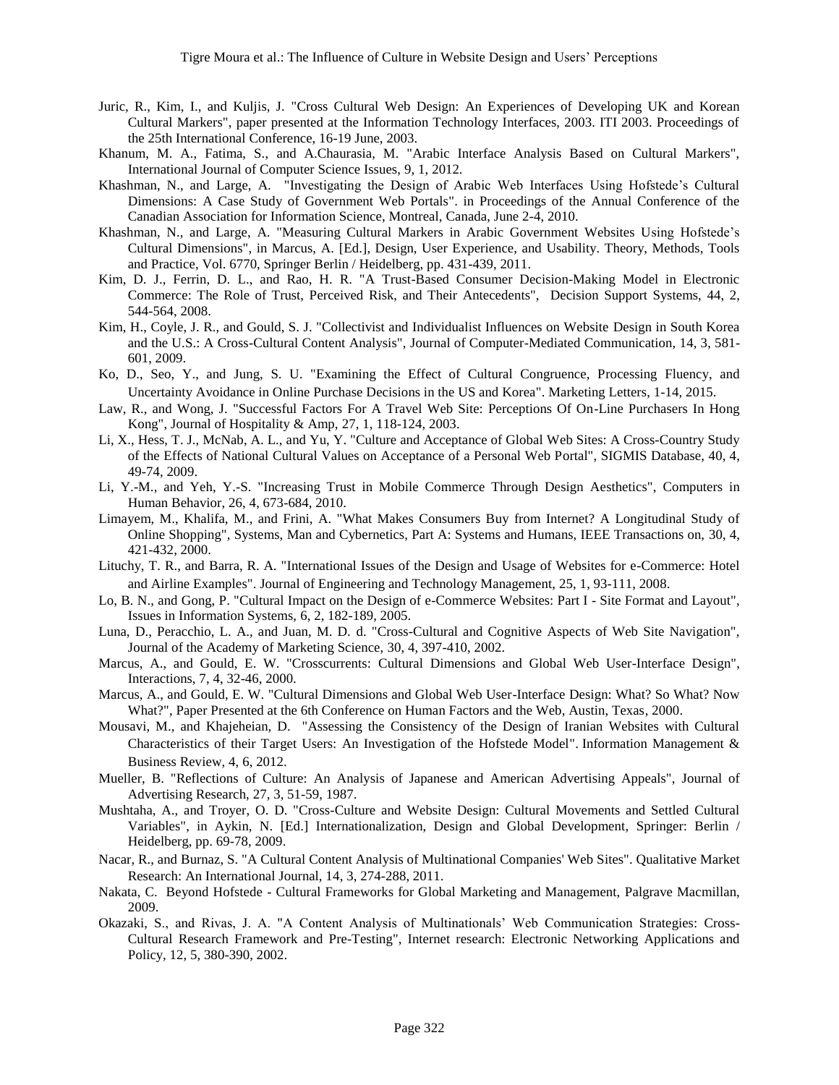- Juric, R., Kim, I., and Kuljis, J. "Cross Cultural Web Design: An Experiences of Developing UK and Korean Cultural Markers", paper presented at the Information Technology Interfaces, 2003. ITI 2003. Proceedings of the 25th International Conference, 16-19 June, 2003.
- Khanum, M. A., Fatima, S., and A.Chaurasia, M. "Arabic Interface Analysis Based on Cultural Markers", International Journal of Computer Science Issues, 9, 1, 2012.
- Khashman, N., and Large, A. "Investigating the Design of Arabic Web Interfaces Using Hofstede's Cultural Dimensions: A Case Study of Government Web Portals". in Proceedings of the Annual Conference of the Canadian Association for Information Science, Montreal, Canada, June 2-4, 2010.
- Khashman, N., and Large, A. "Measuring Cultural Markers in Arabic Government Websites Using Hofstede's Cultural Dimensions", in Marcus, A. [Ed.], Design, User Experience, and Usability. Theory, Methods, Tools and Practice, Vol. 6770, Springer Berlin / Heidelberg, pp. 431-439, 2011.
- Kim, D. J., Ferrin, D. L., and Rao, H. R. "A Trust-Based Consumer Decision-Making Model in Electronic Commerce: The Role of Trust, Perceived Risk, and Their Antecedents", Decision Support Systems, 44, 2, 544-564, 2008.
- Kim, H., Coyle, J. R., and Gould, S. J. "Collectivist and Individualist Influences on Website Design in South Korea and the U.S.: A Cross-Cultural Content Analysis", Journal of Computer-Mediated Communication, 14, 3, 581- 601, 2009.
- Ko, D., Seo, Y., and Jung, S. U. "Examining the Effect of Cultural Congruence, Processing Fluency, and Uncertainty Avoidance in Online Purchase Decisions in the US and Korea". Marketing Letters, 1-14, 2015.
- Law, R., and Wong, J. "Successful Factors For A Travel Web Site: Perceptions Of On-Line Purchasers In Hong Kong", Journal of Hospitality & Amp, 27, 1, 118-124, 2003.
- Li, X., Hess, T. J., McNab, A. L., and Yu, Y. "Culture and Acceptance of Global Web Sites: A Cross-Country Study of the Effects of National Cultural Values on Acceptance of a Personal Web Portal", SIGMIS Database, 40, 4, 49-74, 2009.
- Li, Y.-M., and Yeh, Y.-S. "Increasing Trust in Mobile Commerce Through Design Aesthetics", Computers in Human Behavior, 26, 4, 673-684, 2010.
- Limayem, M., Khalifa, M., and Frini, A. "What Makes Consumers Buy from Internet? A Longitudinal Study of Online Shopping", Systems, Man and Cybernetics, Part A: Systems and Humans, IEEE Transactions on, 30, 4, 421-432, 2000.
- Lituchy, T. R., and Barra, R. A. "International Issues of the Design and Usage of Websites for e-Commerce: Hotel and Airline Examples". Journal of Engineering and Technology Management, 25, 1, 93-111, 2008.
- Lo, B. N., and Gong, P. "Cultural Impact on the Design of e-Commerce Websites: Part I Site Format and Layout", Issues in Information Systems, 6, 2, 182-189, 2005.
- Luna, D., Peracchio, L. A., and Juan, M. D. d. "Cross-Cultural and Cognitive Aspects of Web Site Navigation", Journal of the Academy of Marketing Science, 30, 4, 397-410, 2002.
- Marcus, A., and Gould, E. W. "Crosscurrents: Cultural Dimensions and Global Web User-Interface Design", Interactions, 7, 4, 32-46, 2000.
- Marcus, A., and Gould, E. W. "Cultural Dimensions and Global Web User-Interface Design: What? So What? Now What?", Paper Presented at the 6th Conference on Human Factors and the Web, Austin, Texas, 2000.
- Mousavi, M., and Khajeheian, D. "Assessing the Consistency of the Design of Iranian Websites with Cultural Characteristics of their Target Users: An Investigation of the Hofstede Model". Information Management & Business Review, 4, 6, 2012.
- Mueller, B. "Reflections of Culture: An Analysis of Japanese and American Advertising Appeals", Journal of Advertising Research, 27, 3, 51-59, 1987.
- Mushtaha, A., and Troyer, O. D. "Cross-Culture and Website Design: Cultural Movements and Settled Cultural Variables", in Aykin, N. [Ed.] Internationalization, Design and Global Development, Springer: Berlin / Heidelberg, pp. 69-78, 2009.
- Nacar, R., and Burnaz, S. "A Cultural Content Analysis of Multinational Companies' Web Sites". Qualitative Market Research: An International Journal, 14, 3, 274-288, 2011.
- Nakata, C. Beyond Hofstede Cultural Frameworks for Global Marketing and Management, Palgrave Macmillan, 2009.
- Okazaki, S., and Rivas, J. A. "A Content Analysis of Multinationals' Web Communication Strategies: Cross-Cultural Research Framework and Pre-Testing", Internet research: Electronic Networking Applications and Policy, 12, 5, 380-390, 2002.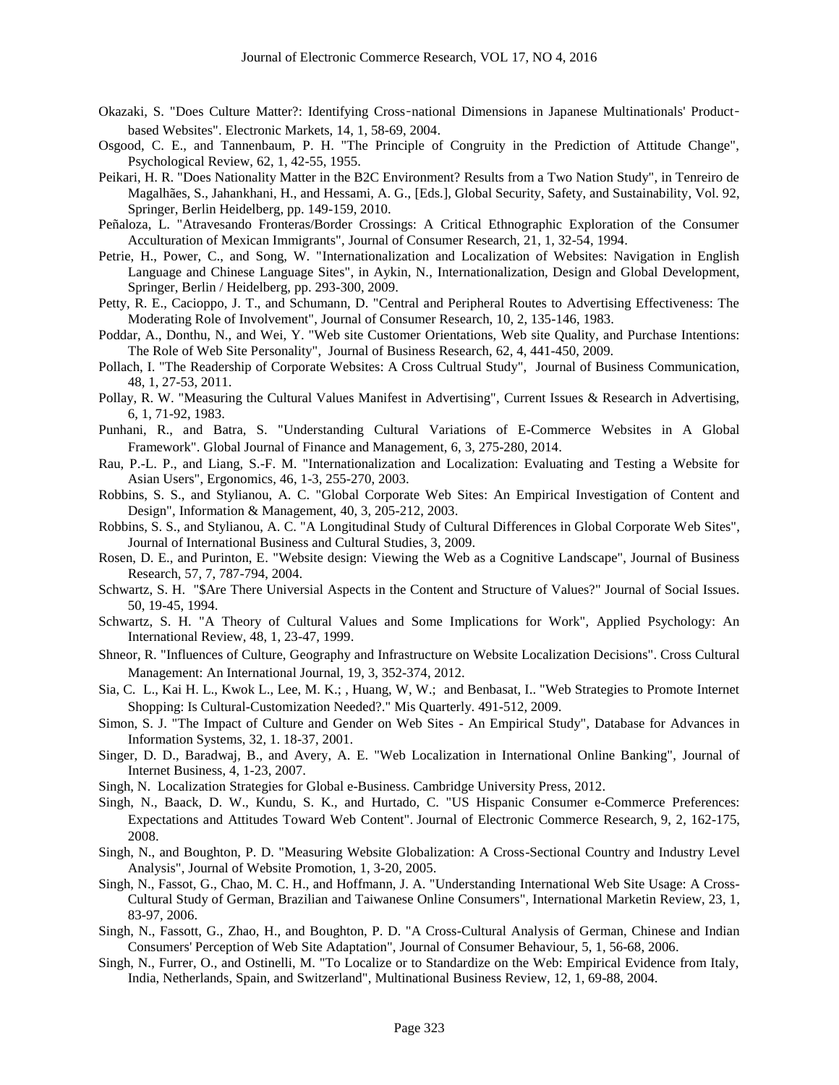- Okazaki, S. "Does Culture Matter?: Identifying Cross‐national Dimensions in Japanese Multinationals' Product‐ based Websites". Electronic Markets, 14, 1, 58-69, 2004.
- Osgood, C. E., and Tannenbaum, P. H. "The Principle of Congruity in the Prediction of Attitude Change", Psychological Review, 62, 1, 42-55, 1955.
- Peikari, H. R. "Does Nationality Matter in the B2C Environment? Results from a Two Nation Study", in Tenreiro de Magalhães, S., Jahankhani, H., and Hessami, A. G., [Eds.], Global Security, Safety, and Sustainability, Vol. 92, Springer, Berlin Heidelberg, pp. 149-159, 2010.
- Peñaloza, L. "Atravesando Fronteras/Border Crossings: A Critical Ethnographic Exploration of the Consumer Acculturation of Mexican Immigrants", Journal of Consumer Research, 21, 1, 32-54, 1994.
- Petrie, H., Power, C., and Song, W. "Internationalization and Localization of Websites: Navigation in English Language and Chinese Language Sites", in Aykin, N., Internationalization, Design and Global Development, Springer, Berlin / Heidelberg, pp. 293-300, 2009.
- Petty, R. E., Cacioppo, J. T., and Schumann, D. "Central and Peripheral Routes to Advertising Effectiveness: The Moderating Role of Involvement", Journal of Consumer Research, 10, 2, 135-146, 1983.
- Poddar, A., Donthu, N., and Wei, Y. "Web site Customer Orientations, Web site Quality, and Purchase Intentions: The Role of Web Site Personality", Journal of Business Research, 62, 4, 441-450, 2009.
- Pollach, I. "The Readership of Corporate Websites: A Cross Cultrual Study", Journal of Business Communication, 48, 1, 27-53, 2011.
- Pollay, R. W. "Measuring the Cultural Values Manifest in Advertising", Current Issues & Research in Advertising, 6, 1, 71-92, 1983.
- Punhani, R., and Batra, S. "Understanding Cultural Variations of E-Commerce Websites in A Global Framework". Global Journal of Finance and Management, 6, 3, 275-280, 2014.
- Rau, P.-L. P., and Liang, S.-F. M. "Internationalization and Localization: Evaluating and Testing a Website for Asian Users", Ergonomics, 46, 1-3, 255-270, 2003.
- Robbins, S. S., and Stylianou, A. C. "Global Corporate Web Sites: An Empirical Investigation of Content and Design", Information & Management, 40, 3, 205-212, 2003.
- Robbins, S. S., and Stylianou, A. C. "A Longitudinal Study of Cultural Differences in Global Corporate Web Sites", Journal of International Business and Cultural Studies, 3, 2009.
- Rosen, D. E., and Purinton, E. "Website design: Viewing the Web as a Cognitive Landscape", Journal of Business Research, 57, 7, 787-794, 2004.
- Schwartz, S. H. "\$Are There Universial Aspects in the Content and Structure of Values?" Journal of Social Issues. 50, 19-45, 1994.
- Schwartz, S. H. "A Theory of Cultural Values and Some Implications for Work", Applied Psychology: An International Review, 48, 1, 23-47, 1999.
- Shneor, R. "Influences of Culture, Geography and Infrastructure on Website Localization Decisions". Cross Cultural Management: An International Journal, 19, 3, 352-374, 2012.
- Sia, C. L., Kai H. L., Kwok L., Lee, M. K.; , Huang, W, W.; and Benbasat, I.. "Web Strategies to Promote Internet Shopping: Is Cultural-Customization Needed?." Mis Quarterly. 491-512, 2009.
- Simon, S. J. "The Impact of Culture and Gender on Web Sites An Empirical Study", Database for Advances in Information Systems, 32, 1. 18-37, 2001.
- Singer, D. D., Baradwaj, B., and Avery, A. E. "Web Localization in International Online Banking", Journal of Internet Business, 4, 1-23, 2007.
- Singh, N. Localization Strategies for Global e-Business. Cambridge University Press, 2012.
- Singh, N., Baack, D. W., Kundu, S. K., and Hurtado, C. "US Hispanic Consumer e-Commerce Preferences: Expectations and Attitudes Toward Web Content". Journal of Electronic Commerce Research, 9, 2, 162-175, 2008.
- Singh, N., and Boughton, P. D. "Measuring Website Globalization: A Cross-Sectional Country and Industry Level Analysis", Journal of Website Promotion, 1, 3-20, 2005.
- Singh, N., Fassot, G., Chao, M. C. H., and Hoffmann, J. A. "Understanding International Web Site Usage: A Cross-Cultural Study of German, Brazilian and Taiwanese Online Consumers", International Marketin Review, 23, 1, 83-97, 2006.
- Singh, N., Fassott, G., Zhao, H., and Boughton, P. D. "A Cross-Cultural Analysis of German, Chinese and Indian Consumers' Perception of Web Site Adaptation", Journal of Consumer Behaviour, 5, 1, 56-68, 2006.
- Singh, N., Furrer, O., and Ostinelli, M. "To Localize or to Standardize on the Web: Empirical Evidence from Italy, India, Netherlands, Spain, and Switzerland", Multinational Business Review, 12, 1, 69-88, 2004.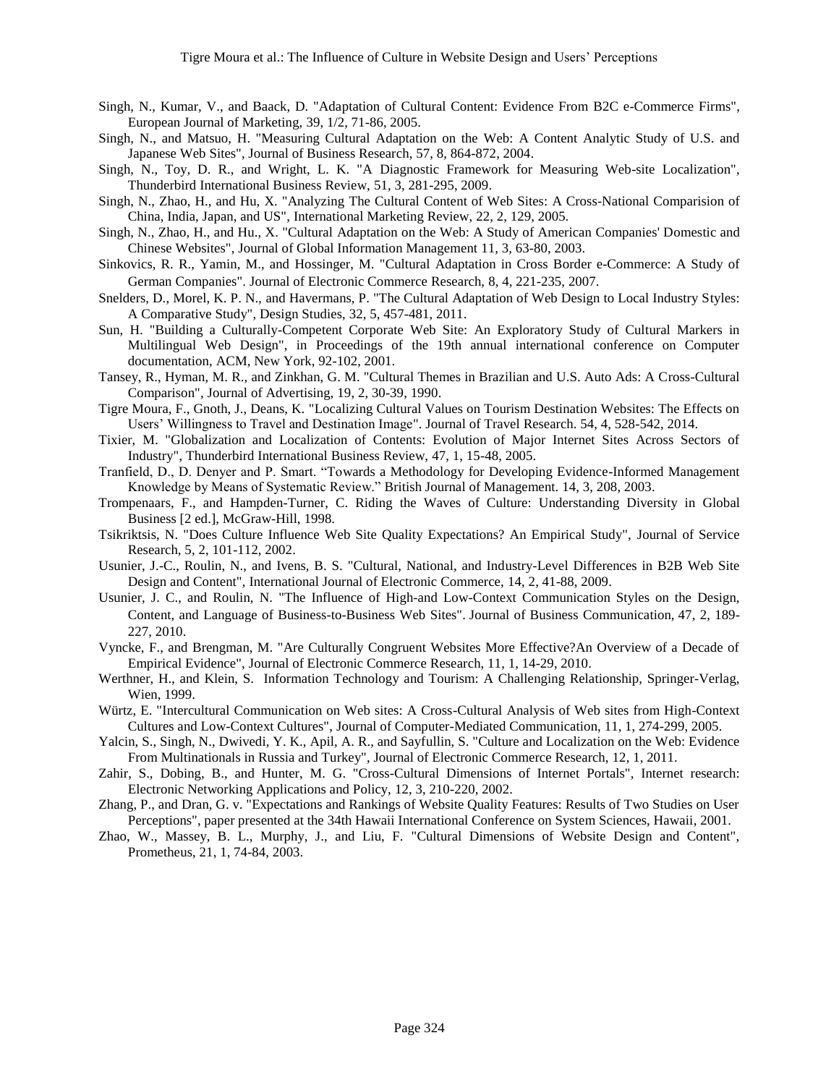- Singh, N., Kumar, V., and Baack, D. "Adaptation of Cultural Content: Evidence From B2C e-Commerce Firms", European Journal of Marketing, 39, 1/2, 71-86, 2005.
- Singh, N., and Matsuo, H. "Measuring Cultural Adaptation on the Web: A Content Analytic Study of U.S. and Japanese Web Sites", Journal of Business Research, 57, 8, 864-872, 2004.
- Singh, N., Toy, D. R., and Wright, L. K. "A Diagnostic Framework for Measuring Web-site Localization", Thunderbird International Business Review, 51, 3, 281-295, 2009.
- Singh, N., Zhao, H., and Hu, X. "Analyzing The Cultural Content of Web Sites: A Cross-National Comparision of China, India, Japan, and US", International Marketing Review, 22, 2, 129, 2005.
- Singh, N., Zhao, H., and Hu., X. "Cultural Adaptation on the Web: A Study of American Companies' Domestic and Chinese Websites", Journal of Global Information Management 11, 3, 63-80, 2003.
- Sinkovics, R. R., Yamin, M., and Hossinger, M. "Cultural Adaptation in Cross Border e-Commerce: A Study of German Companies". Journal of Electronic Commerce Research, 8, 4, 221-235, 2007.
- Snelders, D., Morel, K. P. N., and Havermans, P. "The Cultural Adaptation of Web Design to Local Industry Styles: A Comparative Study", Design Studies, 32, 5, 457-481, 2011.
- Sun, H. "Building a Culturally-Competent Corporate Web Site: An Exploratory Study of Cultural Markers in Multilingual Web Design", in Proceedings of the 19th annual international conference on Computer documentation, ACM, New York, 92-102, 2001.
- Tansey, R., Hyman, M. R., and Zinkhan, G. M. "Cultural Themes in Brazilian and U.S. Auto Ads: A Cross-Cultural Comparison", Journal of Advertising, 19, 2, 30-39, 1990.
- Tigre Moura, F., Gnoth, J., Deans, K. "Localizing Cultural Values on Tourism Destination Websites: The Effects on Users' Willingness to Travel and Destination Image". Journal of Travel Research. 54, 4, 528-542, 2014.
- Tixier, M. "Globalization and Localization of Contents: Evolution of Major Internet Sites Across Sectors of Industry", Thunderbird International Business Review, 47, 1, 15-48, 2005.
- Tranfield, D., D. Denyer and P. Smart. "Towards a Methodology for Developing Evidence-Informed Management Knowledge by Means of Systematic Review." British Journal of Management. 14, 3, 208, 2003.
- Trompenaars, F., and Hampden-Turner, C. Riding the Waves of Culture: Understanding Diversity in Global Business [2 ed.], McGraw-Hill, 1998.
- Tsikriktsis, N. "Does Culture Influence Web Site Quality Expectations? An Empirical Study", Journal of Service Research, 5, 2, 101-112, 2002.
- Usunier, J.-C., Roulin, N., and Ivens, B. S. "Cultural, National, and Industry-Level Differences in B2B Web Site Design and Content", International Journal of Electronic Commerce, 14, 2, 41-88, 2009.
- Usunier, J. C., and Roulin, N. "The Influence of High-and Low-Context Communication Styles on the Design, Content, and Language of Business-to-Business Web Sites". Journal of Business Communication, 47, 2, 189- 227, 2010.
- Vyncke, F., and Brengman, M. "Are Culturally Congruent Websites More Effective?An Overview of a Decade of Empirical Evidence", Journal of Electronic Commerce Research, 11, 1, 14-29, 2010.
- Werthner, H., and Klein, S. Information Technology and Tourism: A Challenging Relationship, Springer-Verlag, Wien, 1999.
- Würtz, E. "Intercultural Communication on Web sites: A Cross-Cultural Analysis of Web sites from High-Context Cultures and Low-Context Cultures", Journal of Computer-Mediated Communication, 11, 1, 274-299, 2005.
- Yalcin, S., Singh, N., Dwivedi, Y. K., Apil, A. R., and Sayfullin, S. "Culture and Localization on the Web: Evidence From Multinationals in Russia and Turkey", Journal of Electronic Commerce Research, 12, 1, 2011.
- Zahir, S., Dobing, B., and Hunter, M. G. "Cross-Cultural Dimensions of Internet Portals", Internet research: Electronic Networking Applications and Policy, 12, 3, 210-220, 2002.
- Zhang, P., and Dran, G. v. "Expectations and Rankings of Website Quality Features: Results of Two Studies on User Perceptions", paper presented at the 34th Hawaii International Conference on System Sciences, Hawaii, 2001.
- Zhao, W., Massey, B. L., Murphy, J., and Liu, F. "Cultural Dimensions of Website Design and Content", Prometheus, 21, 1, 74-84, 2003.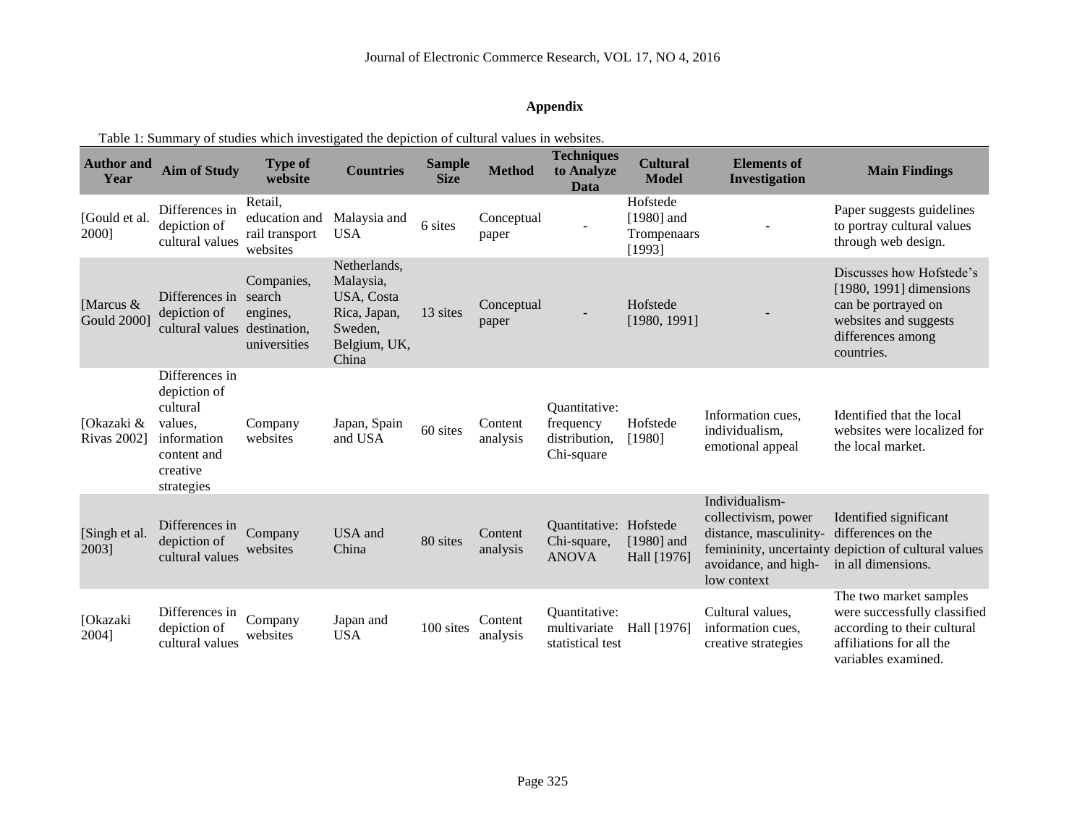# **Appendix**

| <b>Author and</b><br>Year         | <b>Aim of Study</b>                                                                                           | <b>Type of</b><br>website                              | <b>Countries</b>                                                                            | <b>Sample</b><br><b>Size</b> | <b>Method</b>       | <b>Techniques</b><br>to Analyze<br>Data                   | <b>Cultural</b><br><b>Model</b>                   | <b>Elements of</b><br>Investigation                                                                    | <b>Main Findings</b>                                                                                                                     |
|-----------------------------------|---------------------------------------------------------------------------------------------------------------|--------------------------------------------------------|---------------------------------------------------------------------------------------------|------------------------------|---------------------|-----------------------------------------------------------|---------------------------------------------------|--------------------------------------------------------------------------------------------------------|------------------------------------------------------------------------------------------------------------------------------------------|
| [Gould et al.<br>2000]            | Differences in<br>depiction of<br>cultural values                                                             | Retail,<br>education and<br>rail transport<br>websites | Malaysia and<br><b>USA</b>                                                                  | 6 sites                      | Conceptual<br>paper |                                                           | Hofstede<br>$[1980]$ and<br>Trompenaars<br>[1993] |                                                                                                        | Paper suggests guidelines<br>to portray cultural values<br>through web design.                                                           |
| [Marcus $&$<br><b>Gould 2000]</b> | Differences in<br>depiction of<br>cultural values destination,                                                | Companies,<br>search<br>engines,<br>universities       | Netherlands,<br>Malaysia,<br>USA, Costa<br>Rica, Japan,<br>Sweden,<br>Belgium, UK,<br>China | 13 sites                     | Conceptual<br>paper |                                                           | Hofstede<br>[1980, 1991]                          |                                                                                                        | Discusses how Hofstede's<br>[1980, 1991] dimensions<br>can be portrayed on<br>websites and suggests<br>differences among<br>countries.   |
| [Okazaki &<br><b>Rivas 2002</b> ] | Differences in<br>depiction of<br>cultural<br>values,<br>information<br>content and<br>creative<br>strategies | Company<br>websites                                    | Japan, Spain<br>and USA                                                                     | 60 sites                     | Content<br>analysis | Quantitative:<br>frequency<br>distribution,<br>Chi-square | Hofstede<br>[1980]                                | Information cues,<br>individualism,<br>emotional appeal                                                | Identified that the local<br>websites were localized for<br>the local market.                                                            |
| [Singh et al.<br>2003]            | Differences in<br>depiction of<br>cultural values                                                             | Company<br>websites                                    | USA and<br>China                                                                            | 80 sites                     | Content<br>analysis | Quantitative: Hofstede<br>Chi-square,<br><b>ANOVA</b>     | $[1980]$ and<br>Hall [1976]                       | Individualism-<br>collectivism, power<br>distance, masculinity-<br>avoidance, and high-<br>low context | Identified significant<br>differences on the<br>femininity, uncertainty depiction of cultural values<br>in all dimensions.               |
| [Okazaki<br>2004]                 | Differences in<br>depiction of<br>cultural values                                                             | Company<br>websites                                    | Japan and<br><b>USA</b>                                                                     | 100 sites                    | Content<br>analysis | Quantitative:<br>multivariate<br>statistical test         | Hall [1976]                                       | Cultural values,<br>information cues,<br>creative strategies                                           | The two market samples<br>were successfully classified<br>according to their cultural<br>affiliations for all the<br>variables examined. |

Table 1: Summary of studies which investigated the depiction of cultural values in websites.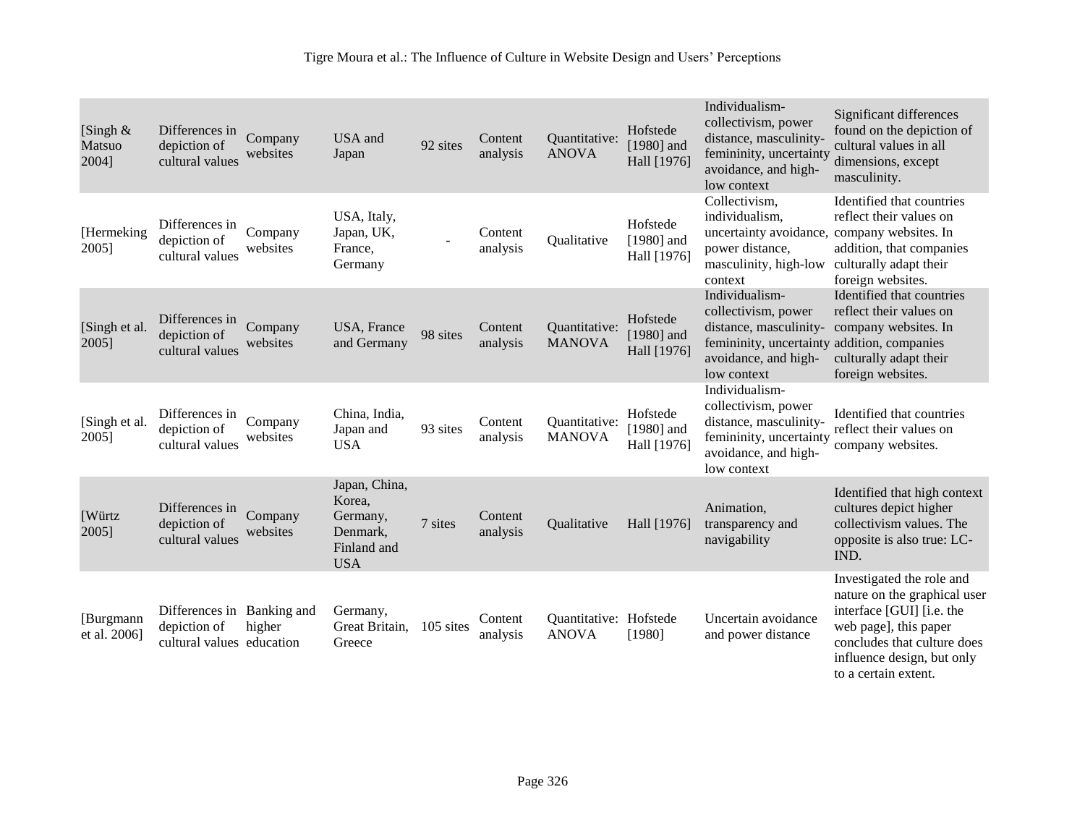| [Singh $\&$<br>Matsuo<br>2004] | Differences in<br>depiction of<br>cultural values                       | Company<br>websites | USA and<br>Japan                                                             | 92 sites  | Content<br>analysis | Quantitative:<br><b>ANOVA</b>          | Hofstede<br>[ $1980$ ] and<br>Hall [1976] | Individualism-<br>collectivism, power<br>distance, masculinity-<br>femininity, uncertainty<br>avoidance, and high-<br>low context                     | Significant differences<br>found on the depiction of<br>cultural values in all<br>dimensions, except<br>masculinity.                                                                                 |
|--------------------------------|-------------------------------------------------------------------------|---------------------|------------------------------------------------------------------------------|-----------|---------------------|----------------------------------------|-------------------------------------------|-------------------------------------------------------------------------------------------------------------------------------------------------------|------------------------------------------------------------------------------------------------------------------------------------------------------------------------------------------------------|
| [Hermeking]<br>2005]           | Differences in<br>depiction of<br>cultural values                       | Company<br>websites | USA, Italy,<br>Japan, UK,<br>France,<br>Germany                              |           | Content<br>analysis | Qualitative                            | Hofstede<br>$[1980]$ and<br>Hall [1976]   | Collectivism,<br>individualism,<br>uncertainty avoidance, company websites. In<br>power distance,<br>masculinity, high-low<br>context                 | Identified that countries<br>reflect their values on<br>addition, that companies<br>culturally adapt their<br>foreign websites.                                                                      |
| [Singh et al.<br>2005]         | Differences in<br>depiction of<br>cultural values                       | Company<br>websites | USA, France<br>and Germany                                                   | 98 sites  | Content<br>analysis | Quantitative:<br><b>MANOVA</b>         | Hofstede<br>[ $1980$ ] and<br>Hall [1976] | Individualism-<br>collectivism, power<br>distance, masculinity-<br>femininity, uncertainty addition, companies<br>avoidance, and high-<br>low context | Identified that countries<br>reflect their values on<br>company websites. In<br>culturally adapt their<br>foreign websites.                                                                          |
| [Singh et al.<br>2005]         | Differences in<br>depiction of<br>cultural values                       | Company<br>websites | China, India,<br>Japan and<br><b>USA</b>                                     | 93 sites  | Content<br>analysis | Quantitative:<br><b>MANOVA</b>         | Hofstede<br>$[1980]$ and<br>Hall [1976]   | Individualism-<br>collectivism, power<br>distance, masculinity-<br>femininity, uncertainty<br>avoidance, and high-<br>low context                     | Identified that countries<br>reflect their values on<br>company websites.                                                                                                                            |
| <b>Würtz</b><br>2005]          | Differences in<br>depiction of<br>cultural values                       | Company<br>websites | Japan, China,<br>Korea,<br>Germany,<br>Denmark,<br>Finland and<br><b>USA</b> | 7 sites   | Content<br>analysis | Qualitative                            | Hall [1976]                               | Animation,<br>transparency and<br>navigability                                                                                                        | Identified that high context<br>cultures depict higher<br>collectivism values. The<br>opposite is also true: LC-<br>IND.                                                                             |
| [Burgmann]<br>et al. 2006]     | Differences in Banking and<br>depiction of<br>cultural values education | higher              | Germany,<br>Great Britain,<br>Greece                                         | 105 sites | Content<br>analysis | Quantitative: Hofstede<br><b>ANOVA</b> | [1980]                                    | Uncertain avoidance<br>and power distance                                                                                                             | Investigated the role and<br>nature on the graphical user<br>interface [GUI] [i.e. the<br>web page], this paper<br>concludes that culture does<br>influence design, but only<br>to a certain extent. |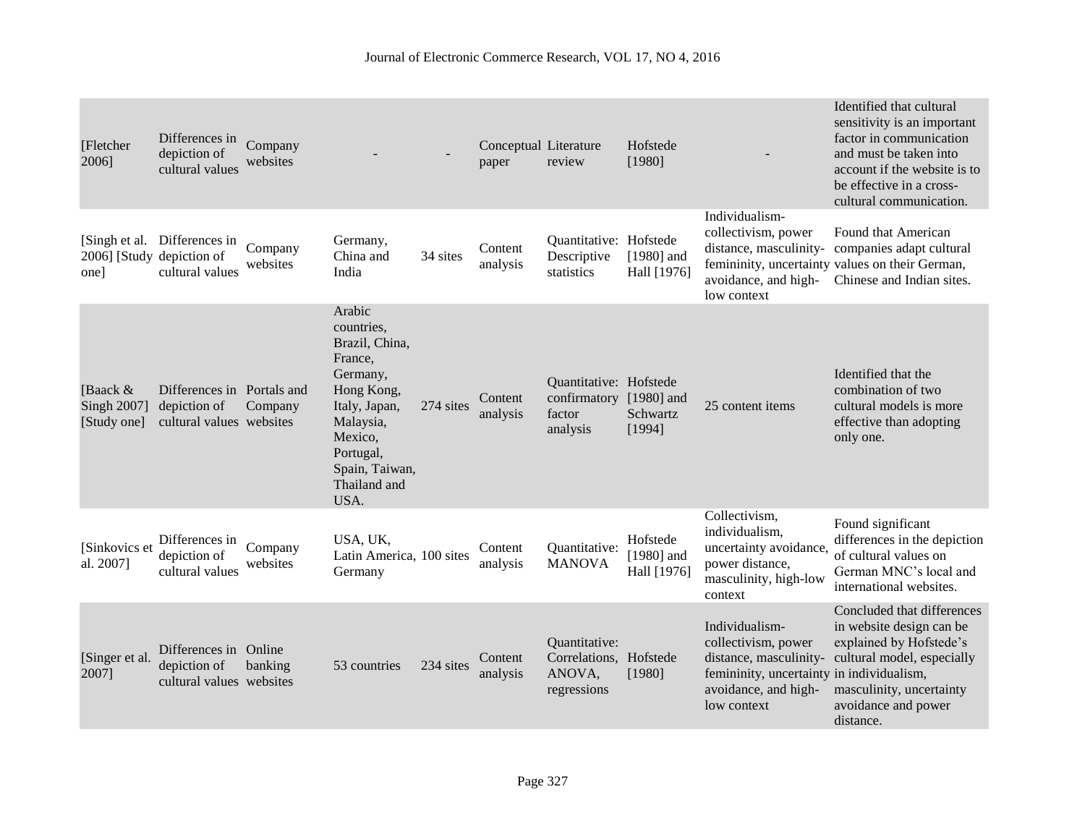| [Fletcher<br>2006]                       | Differences in<br>depiction of<br>cultural values                      | Company<br>websites |                                                                                                                                                                             |           | Conceptual Literature<br>paper | review                                                                  | Hofstede<br>[1980]                      |                                                                                                                                                     | Identified that cultural<br>sensitivity is an important<br>factor in communication<br>and must be taken into<br>account if the website is to<br>be effective in a cross-<br>cultural communication. |
|------------------------------------------|------------------------------------------------------------------------|---------------------|-----------------------------------------------------------------------------------------------------------------------------------------------------------------------------|-----------|--------------------------------|-------------------------------------------------------------------------|-----------------------------------------|-----------------------------------------------------------------------------------------------------------------------------------------------------|-----------------------------------------------------------------------------------------------------------------------------------------------------------------------------------------------------|
| [Singh et al.<br>one]                    | Differences in<br>2006] [Study depiction of<br>cultural values         | Company<br>websites | Germany,<br>China and<br>India                                                                                                                                              | 34 sites  | Content<br>analysis            | Quantitative: Hofstede<br>Descriptive<br>statistics                     | $[1980]$ and<br>Hall [1976]             | Individualism-<br>collectivism, power<br>avoidance, and high-<br>low context                                                                        | Found that American<br>distance, masculinity- companies adapt cultural<br>femininity, uncertainty values on their German,<br>Chinese and Indian sites.                                              |
| [Baack $&$<br>Singh 2007]<br>[Study one] | Differences in Portals and<br>depiction of<br>cultural values websites | Company             | Arabic<br>countries.<br>Brazil, China,<br>France,<br>Germany,<br>Hong Kong,<br>Italy, Japan,<br>Malaysia,<br>Mexico,<br>Portugal,<br>Spain, Taiwan,<br>Thailand and<br>USA. | 274 sites | Content<br>analysis            | Quantitative: Hofstede<br>confirmatory [1980] and<br>factor<br>analysis | Schwartz<br>[1994]                      | 25 content items                                                                                                                                    | Identified that the<br>combination of two<br>cultural models is more<br>effective than adopting<br>only one.                                                                                        |
| [Sinkovics et<br>al. 2007]               | Differences in<br>depiction of<br>cultural values                      | Company<br>websites | USA, UK,<br>Latin America, 100 sites<br>Germany                                                                                                                             |           | Content<br>analysis            | Quantitative:<br><b>MANOVA</b>                                          | Hofstede<br>$[1980]$ and<br>Hall [1976] | Collectivism,<br>individualism,<br>uncertainty avoidance,<br>power distance,<br>masculinity, high-low<br>context                                    | Found significant<br>differences in the depiction<br>of cultural values on<br>German MNC's local and<br>international websites.                                                                     |
| [Singer et al.<br>2007]                  | Differences in Online<br>depiction of<br>cultural values websites      | banking             | 53 countries                                                                                                                                                                | 234 sites | Content<br>analysis            | Quantitative:<br>Correlations, Hofstede<br>ANOVA,<br>regressions        | [1980]                                  | Individualism-<br>collectivism, power<br>distance, masculinity-<br>femininity, uncertainty in individualism,<br>avoidance, and high-<br>low context | Concluded that differences<br>in website design can be<br>explained by Hofstede's<br>cultural model, especially<br>masculinity, uncertainty<br>avoidance and power<br>distance.                     |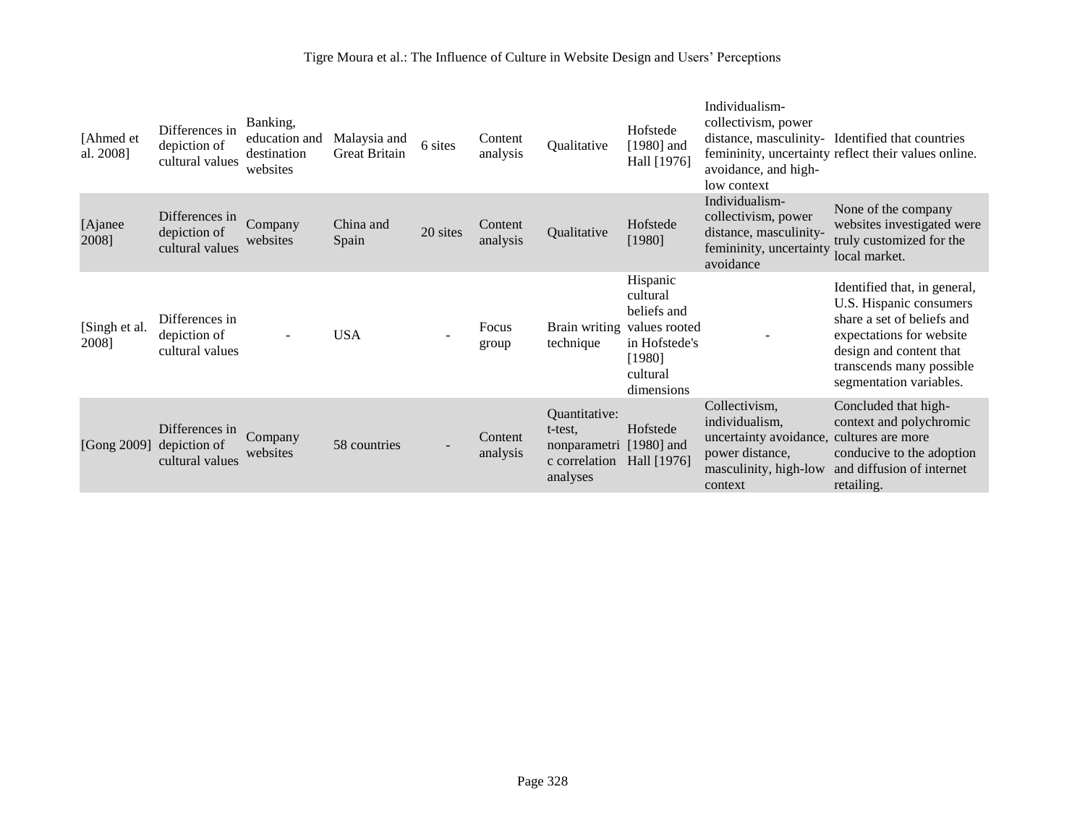| [Ahmed et<br>al. 2008] | Differences in<br>depiction of<br>cultural values | Banking,<br>education and<br>destination<br>websites | Malaysia and<br><b>Great Britain</b> | 6 sites  | Content<br>analysis | Qualitative                                                           | Hofstede<br>$[1980]$ and<br>Hall [1976]                                                                                 | Individualism-<br>collectivism, power<br>avoidance, and high-<br>low context                                     | distance, masculinity- Identified that countries<br>femininity, uncertainty reflect their values online.                                                                                            |
|------------------------|---------------------------------------------------|------------------------------------------------------|--------------------------------------|----------|---------------------|-----------------------------------------------------------------------|-------------------------------------------------------------------------------------------------------------------------|------------------------------------------------------------------------------------------------------------------|-----------------------------------------------------------------------------------------------------------------------------------------------------------------------------------------------------|
| [Ajanee<br>2008]       | Differences in<br>depiction of<br>cultural values | Company<br>websites                                  | China and<br>Spain                   | 20 sites | Content<br>analysis | Qualitative                                                           | Hofstede<br>[1980]                                                                                                      | Individualism-<br>collectivism, power<br>distance, masculinity-<br>femininity, uncertainty<br>avoidance          | None of the company<br>websites investigated were<br>truly customized for the<br>local market.                                                                                                      |
| [Singh et al.<br>2008] | Differences in<br>depiction of<br>cultural values | ÷.                                                   | <b>USA</b>                           |          | Focus<br>group      | technique                                                             | Hispanic<br>cultural<br>beliefs and<br>Brain writing values rooted<br>in Hofstede's<br>[1980]<br>cultural<br>dimensions |                                                                                                                  | Identified that, in general,<br>U.S. Hispanic consumers<br>share a set of beliefs and<br>expectations for website<br>design and content that<br>transcends many possible<br>segmentation variables. |
| [Gong 2009]            | Differences in<br>depiction of<br>cultural values | Company<br>websites                                  | 58 countries                         |          | Content<br>analysis | Quantitative:<br>t-test,<br>nonparametri<br>c correlation<br>analyses | Hofstede<br>$[1980]$ and<br>Hall [1976]                                                                                 | Collectivism,<br>individualism,<br>uncertainty avoidance,<br>power distance,<br>masculinity, high-low<br>context | Concluded that high-<br>context and polychromic<br>cultures are more<br>conducive to the adoption<br>and diffusion of internet<br>retailing.                                                        |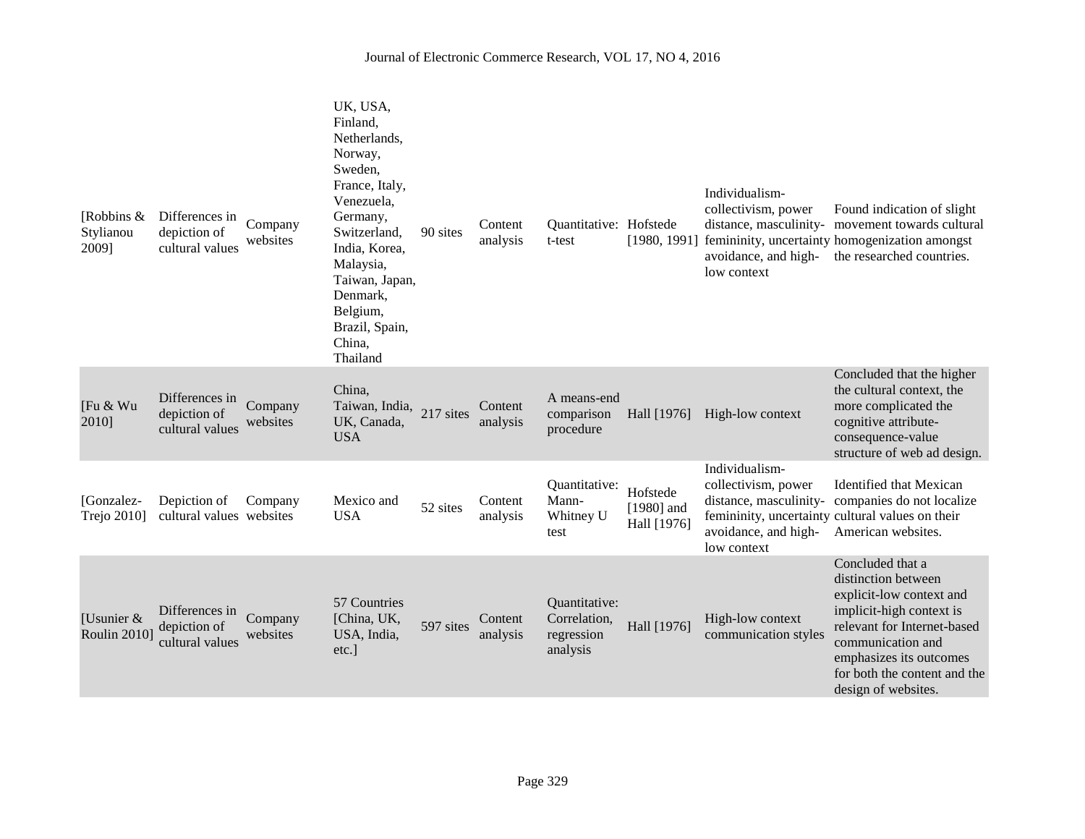| [Robbins $\&$<br>Stylianou<br>2009] | Differences in<br>depiction of<br>cultural values | Company<br>websites | UK, USA,<br>Finland,<br>Netherlands,<br>Norway,<br>Sweden,<br>France, Italy,<br>Venezuela,<br>Germany,<br>Switzerland,<br>India, Korea,<br>Malaysia,<br>Taiwan, Japan,<br>Denmark,<br>Belgium,<br>Brazil, Spain,<br>China,<br>Thailand | 90 sites  | Content<br>analysis | Quantitative: Hofstede<br>t-test                        | [1980, 1991]                            | Individualism-<br>collectivism, power<br>low context                                                   | Found indication of slight<br>distance, masculinity- movement towards cultural<br>femininity, uncertainty homogenization amongst<br>avoidance, and high-<br>the researched countries.                                                 |
|-------------------------------------|---------------------------------------------------|---------------------|----------------------------------------------------------------------------------------------------------------------------------------------------------------------------------------------------------------------------------------|-----------|---------------------|---------------------------------------------------------|-----------------------------------------|--------------------------------------------------------------------------------------------------------|---------------------------------------------------------------------------------------------------------------------------------------------------------------------------------------------------------------------------------------|
| [Fu & Wu<br>2010]                   | Differences in<br>depiction of<br>cultural values | Company<br>websites | China,<br>Taiwan, India, 217 sites<br>UK, Canada,<br><b>USA</b>                                                                                                                                                                        |           | Content<br>analysis | A means-end<br>comparison<br>procedure                  | Hall [1976]                             | High-low context                                                                                       | Concluded that the higher<br>the cultural context, the<br>more complicated the<br>cognitive attribute-<br>consequence-value<br>structure of web ad design.                                                                            |
| [Gonzalez-<br><b>Trejo 2010</b>     | Depiction of<br>cultural values websites          | Company             | Mexico and<br><b>USA</b>                                                                                                                                                                                                               | 52 sites  | Content<br>analysis | Quantitative:<br>Mann-<br>Whitney U<br>test             | Hofstede<br>$[1980]$ and<br>Hall [1976] | Individualism-<br>collectivism, power<br>distance, masculinity-<br>avoidance, and high-<br>low context | <b>Identified that Mexican</b><br>companies do not localize<br>femininity, uncertainty cultural values on their<br>American websites.                                                                                                 |
| [Usunier $&$<br><b>Roulin 2010]</b> | Differences in<br>depiction of<br>cultural values | Company<br>websites | 57 Countries<br>[China, UK,<br>USA, India,<br>etc.]                                                                                                                                                                                    | 597 sites | Content<br>analysis | Quantitative:<br>Correlation,<br>regression<br>analysis | Hall [1976]                             | High-low context<br>communication styles                                                               | Concluded that a<br>distinction between<br>explicit-low context and<br>implicit-high context is<br>relevant for Internet-based<br>communication and<br>emphasizes its outcomes<br>for both the content and the<br>design of websites. |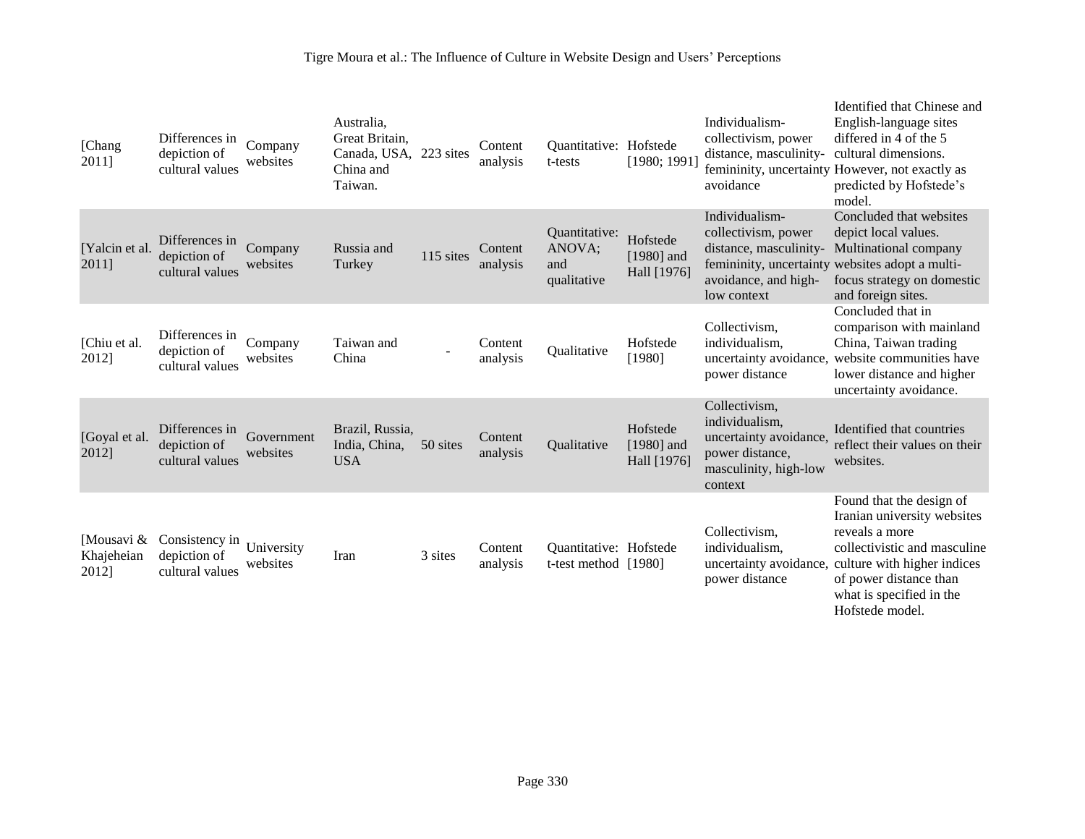# Tigre Moura et al.: The Influence of Culture in Website Design and Users' Perceptions

| [Chang<br>2011]                   | Differences in<br>depiction of<br>cultural values | Company<br>websites    | Australia,<br>Great Britain,<br>Canada, USA,<br>China and<br>Taiwan. | 223 sites | Content<br>analysis | Quantitative: Hofstede<br>t-tests              | [1980; 1991]                            | Individualism-<br>collectivism, power<br>distance, masculinity-<br>avoidance                                     | Identified that Chinese and<br>English-language sites<br>differed in 4 of the 5<br>cultural dimensions.<br>femininity, uncertainty However, not exactly as<br>predicted by Hofstede's<br>model.                   |
|-----------------------------------|---------------------------------------------------|------------------------|----------------------------------------------------------------------|-----------|---------------------|------------------------------------------------|-----------------------------------------|------------------------------------------------------------------------------------------------------------------|-------------------------------------------------------------------------------------------------------------------------------------------------------------------------------------------------------------------|
| [Yalcin et al.<br>2011]           | Differences in<br>depiction of<br>cultural values | Company<br>websites    | Russia and<br>Turkey                                                 | 115 sites | Content<br>analysis | Quantitative:<br>ANOVA;<br>and<br>qualitative  | Hofstede<br>$[1980]$ and<br>Hall [1976] | Individualism-<br>collectivism, power<br>distance, masculinity-<br>avoidance, and high-<br>low context           | Concluded that websites<br>depict local values.<br>Multinational company<br>femininity, uncertainty websites adopt a multi-<br>focus strategy on domestic<br>and foreign sites.                                   |
| [Chiu et al.<br>2012]             | Differences in<br>depiction of<br>cultural values | Company<br>websites    | Taiwan and<br>China                                                  |           | Content<br>analysis | Qualitative                                    | Hofstede<br>[1980]                      | Collectivism,<br>individualism.<br>uncertainty avoidance,<br>power distance                                      | Concluded that in<br>comparison with mainland<br>China, Taiwan trading<br>website communities have<br>lower distance and higher<br>uncertainty avoidance.                                                         |
| [Goyal et al.<br>2012]            | Differences in<br>depiction of<br>cultural values | Government<br>websites | Brazil, Russia,<br>India, China,<br><b>USA</b>                       | 50 sites  | Content<br>analysis | Qualitative                                    | Hofstede<br>$[1980]$ and<br>Hall [1976] | Collectivism,<br>individualism,<br>uncertainty avoidance,<br>power distance,<br>masculinity, high-low<br>context | Identified that countries<br>reflect their values on their<br>websites.                                                                                                                                           |
| [Mousavi &<br>Khajeheian<br>2012] | Consistency in<br>depiction of<br>cultural values | University<br>websites | Iran                                                                 | 3 sites   | Content<br>analysis | Quantitative: Hofstede<br>t-test method [1980] |                                         | Collectivism,<br>individualism.<br>uncertainty avoidance,<br>power distance                                      | Found that the design of<br>Iranian university websites<br>reveals a more<br>collectivistic and masculine<br>culture with higher indices<br>of power distance than<br>what is specified in the<br>Hofstede model. |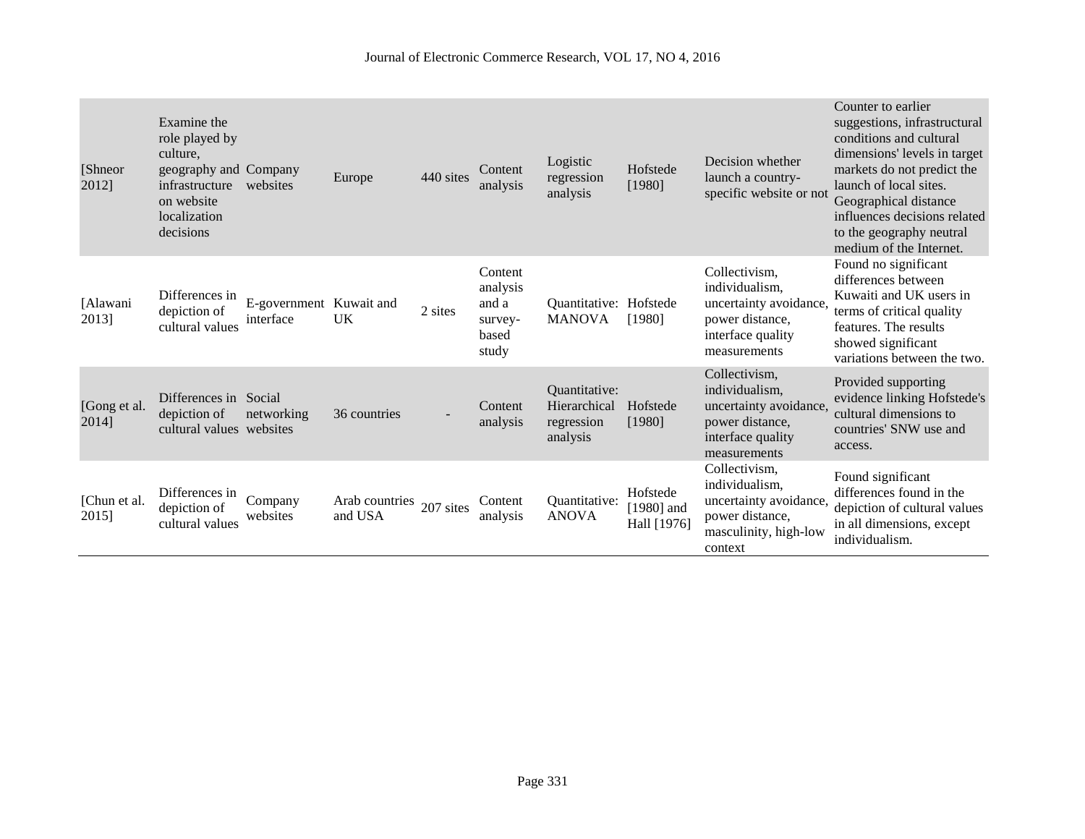| [Shneor]<br>2012]     | Examine the<br>role played by<br>culture.<br>geography and Company<br>infrastructure<br>on website<br>localization<br>decisions | websites                             | Europe                              | 440 sites | Content<br>analysis                                       | Logistic<br>regression<br>analysis                      | Hofstede<br>[1980]                      | Decision whether<br>launch a country-<br>specific website or not                                                  | Counter to earlier<br>suggestions, infrastructural<br>conditions and cultural<br>dimensions' levels in target<br>markets do not predict the<br>launch of local sites.<br>Geographical distance<br>influences decisions related<br>to the geography neutral<br>medium of the Internet. |
|-----------------------|---------------------------------------------------------------------------------------------------------------------------------|--------------------------------------|-------------------------------------|-----------|-----------------------------------------------------------|---------------------------------------------------------|-----------------------------------------|-------------------------------------------------------------------------------------------------------------------|---------------------------------------------------------------------------------------------------------------------------------------------------------------------------------------------------------------------------------------------------------------------------------------|
| [Alawani<br>2013]     | Differences in<br>depiction of<br>cultural values                                                                               | E-government Kuwait and<br>interface | UK                                  | 2 sites   | Content<br>analysis<br>and a<br>survey-<br>based<br>study | Quantitative: Hofstede<br><b>MANOVA</b>                 | [1980]                                  | Collectivism,<br>individualism.<br>uncertainty avoidance,<br>power distance,<br>interface quality<br>measurements | Found no significant<br>differences between<br>Kuwaiti and UK users in<br>terms of critical quality<br>features. The results<br>showed significant<br>variations between the two.                                                                                                     |
| [Gong et al.<br>2014] | Differences in Social<br>depiction of<br>cultural values websites                                                               | networking                           | 36 countries                        |           | Content<br>analysis                                       | Quantitative:<br>Hierarchical<br>regression<br>analysis | Hofstede<br>[1980]                      | Collectivism,<br>individualism,<br>uncertainty avoidance<br>power distance,<br>interface quality<br>measurements  | Provided supporting<br>evidence linking Hofstede's<br>cultural dimensions to<br>countries' SNW use and<br>access.                                                                                                                                                                     |
| [Chun et al.<br>2015] | Differences in<br>depiction of<br>cultural values                                                                               | Company<br>websites                  | Arab countries 207 sites<br>and USA |           | Content<br>analysis                                       | Quantitative:<br><b>ANOVA</b>                           | Hofstede<br>$[1980]$ and<br>Hall [1976] | Collectivism,<br>individualism,<br>uncertainty avoidance,<br>power distance,<br>masculinity, high-low<br>context  | Found significant<br>differences found in the<br>depiction of cultural values<br>in all dimensions, except<br>individualism.                                                                                                                                                          |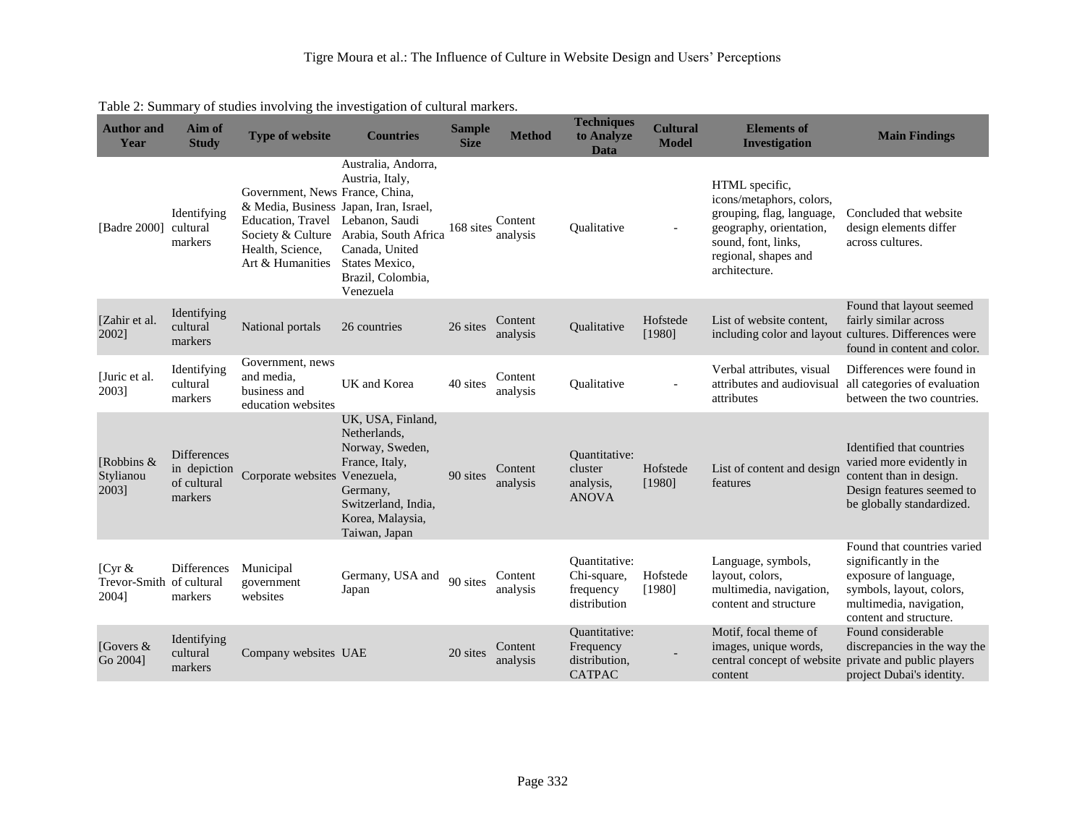| <b>Author</b> and<br>Year                      | Aim of<br><b>Study</b>                                       | <b>Type of website</b>                                                                                                                                      | <b>Countries</b>                                                                                                                                             | <b>Sample</b><br><b>Size</b> | <b>Method</b>       | <b>Techniques</b><br>to Analyze<br>Data                             | <b>Cultural</b><br><b>Model</b> | <b>Elements of</b><br><b>Investigation</b>                                                                                                                         | <b>Main Findings</b>                                                                                                                                          |
|------------------------------------------------|--------------------------------------------------------------|-------------------------------------------------------------------------------------------------------------------------------------------------------------|--------------------------------------------------------------------------------------------------------------------------------------------------------------|------------------------------|---------------------|---------------------------------------------------------------------|---------------------------------|--------------------------------------------------------------------------------------------------------------------------------------------------------------------|---------------------------------------------------------------------------------------------------------------------------------------------------------------|
| [Badre 2000]                                   | Identifying<br>cultural<br>markers                           | Government, News France, China,<br>& Media, Business Japan, Iran, Israel,<br>Education, Travel<br>Society & Culture<br>Health, Science,<br>Art & Humanities | Australia, Andorra,<br>Austria, Italy,<br>Lebanon, Saudi<br>Arabia, South Africa<br>Canada, United<br>States Mexico,<br>Brazil, Colombia,<br>Venezuela       | 168 sites                    | Content<br>analysis | Oualitative                                                         | $\overline{\phantom{a}}$        | HTML specific,<br>icons/metaphors, colors,<br>grouping, flag, language,<br>geography, orientation,<br>sound, font, links,<br>regional, shapes and<br>architecture. | Concluded that website<br>design elements differ<br>across cultures.                                                                                          |
| [Zahir et al.<br>2002]                         | Identifying<br>cultural<br>markers                           | National portals                                                                                                                                            | 26 countries                                                                                                                                                 | 26 sites                     | Content<br>analysis | Qualitative                                                         | Hofstede<br>[1980]              | List of website content,                                                                                                                                           | Found that layout seemed<br>fairly similar across<br>including color and layout cultures. Differences were<br>found in content and color.                     |
| [Juric et al.<br>2003]                         | Identifying<br>cultural<br>markers                           | Government, news<br>and media,<br>business and<br>education websites                                                                                        | UK and Korea                                                                                                                                                 | 40 sites                     | Content<br>analysis | Qualitative                                                         | $\overline{\phantom{a}}$        | Verbal attributes, visual<br>attributes and audiovisual<br>attributes                                                                                              | Differences were found in<br>all categories of evaluation<br>between the two countries.                                                                       |
| [Robbins &<br>Stylianou<br>2003]               | <b>Differences</b><br>in depiction<br>of cultural<br>markers | Corporate websites                                                                                                                                          | UK, USA, Finland,<br>Netherlands,<br>Norway, Sweden,<br>France, Italy,<br>Venezuela,<br>Germany,<br>Switzerland, India,<br>Korea, Malaysia,<br>Taiwan, Japan | 90 sites                     | Content<br>analysis | Quantitative:<br>cluster<br>analysis,<br><b>ANOVA</b>               | Hofstede<br>[1980]              | List of content and design<br>features                                                                                                                             | Identified that countries<br>varied more evidently in<br>content than in design.<br>Design features seemed to<br>be globally standardized.                    |
| [ $Cyr &$<br>Trevor-Smith of cultural<br>2004] | Differences<br>markers                                       | Municipal<br>government<br>websites                                                                                                                         | Germany, USA and<br>Japan                                                                                                                                    | 90 sites                     | Content<br>analysis | Ouantitative:<br>Chi-square,<br>frequency<br>distribution           | Hofstede<br>[1980]              | Language, symbols,<br>layout, colors,<br>multimedia, navigation,<br>content and structure                                                                          | Found that countries varied<br>significantly in the<br>exposure of language,<br>symbols, layout, colors,<br>multimedia, navigation,<br>content and structure. |
| [Govers $&$<br>Go 2004]                        | Identifying<br>cultural<br>markers                           | Company websites UAE                                                                                                                                        |                                                                                                                                                              | 20 sites                     | Content<br>analysis | <b>Quantitative:</b><br>Frequency<br>distribution,<br><b>CATPAC</b> |                                 | Motif, focal theme of<br>images, unique words,<br>central concept of website private and public players<br>content                                                 | Found considerable<br>discrepancies in the way the<br>project Dubai's identity.                                                                               |

# Table 2: Summary of studies involving the investigation of cultural markers.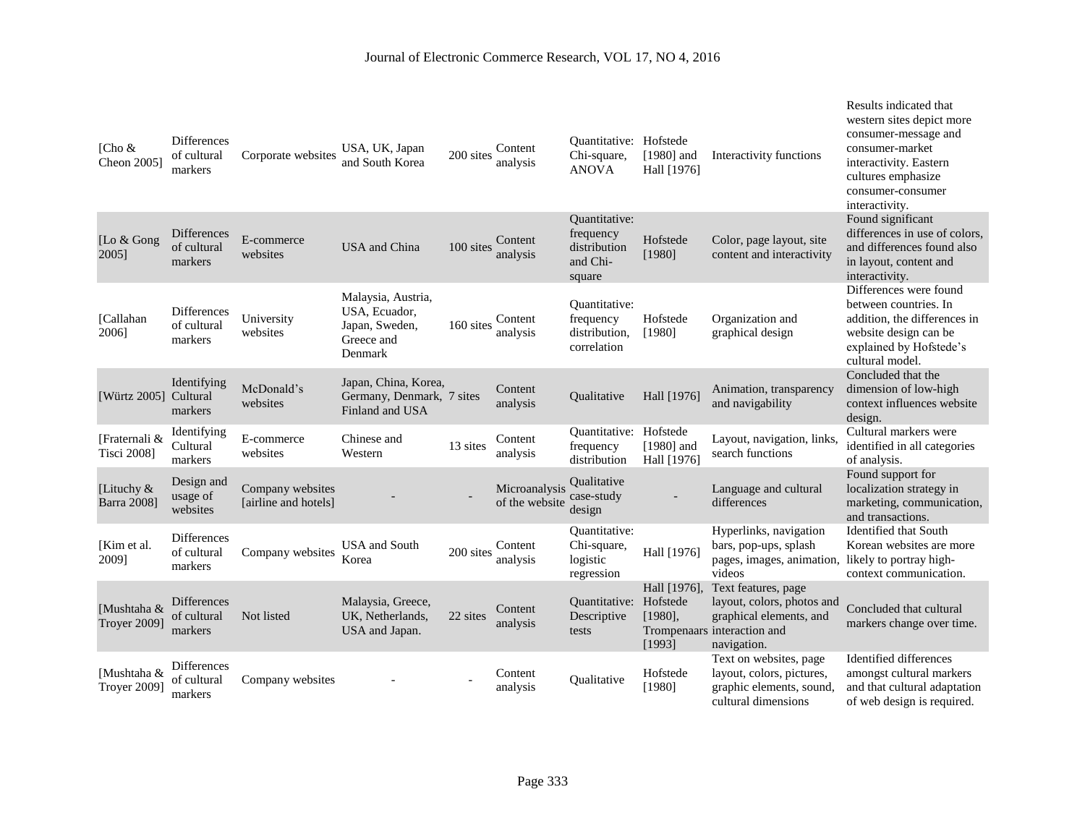| [Cho &<br>Cheon 2005]                | <b>Differences</b><br>of cultural<br>markers | Corporate websites                       | USA, UK, Japan<br>and South Korea                                              | 200 sites | Content<br>analysis             | Quantitative: Hofstede<br>Chi-square,<br><b>ANOVA</b>                   | $[1980]$ and<br>Hall [1976]                      | Interactivity functions                                                                                                    | Results indicated that<br>western sites depict more<br>consumer-message and<br>consumer-market<br>interactivity. Eastern<br>cultures emphasize<br>consumer-consumer<br>interactivity. |
|--------------------------------------|----------------------------------------------|------------------------------------------|--------------------------------------------------------------------------------|-----------|---------------------------------|-------------------------------------------------------------------------|--------------------------------------------------|----------------------------------------------------------------------------------------------------------------------------|---------------------------------------------------------------------------------------------------------------------------------------------------------------------------------------|
| [Lo $&$ Gong<br>2005]                | <b>Differences</b><br>of cultural<br>markers | E-commerce<br>websites                   | <b>USA</b> and China                                                           | 100 sites | Content<br>analysis             | <b>Ouantitative:</b><br>frequency<br>distribution<br>and Chi-<br>square | Hofstede<br>[1980]                               | Color, page layout, site<br>content and interactivity                                                                      | Found significant<br>differences in use of colors,<br>and differences found also<br>in layout, content and<br>interactivity.                                                          |
| [Callahan<br>2006]                   | <b>Differences</b><br>of cultural<br>markers | University<br>websites                   | Malaysia, Austria,<br>USA, Ecuador,<br>Japan, Sweden,<br>Greece and<br>Denmark | 160 sites | Content<br>analysis             | <b>Ouantitative:</b><br>frequency<br>distribution,<br>correlation       | Hofstede<br>[1980]                               | Organization and<br>graphical design                                                                                       | Differences were found<br>between countries. In<br>addition, the differences in<br>website design can be<br>explained by Hofstede's<br>cultural model.                                |
| [Würtz 2005]                         | Identifying<br>Cultural<br>markers           | McDonald's<br>websites                   | Japan, China, Korea,<br>Germany, Denmark, 7 sites<br>Finland and USA           |           | Content<br>analysis             | <b>Oualitative</b>                                                      | Hall [1976]                                      | Animation, transparency<br>and navigability                                                                                | Concluded that the<br>dimension of low-high<br>context influences website<br>design.                                                                                                  |
| [Fraternali &<br><b>Tisci 2008</b> ] | Identifying<br>Cultural<br>markers           | E-commerce<br>websites                   | Chinese and<br>Western                                                         | 13 sites  | Content<br>analysis             | Quantitative:<br>frequency<br>distribution                              | Hofstede<br>$[1980]$ and<br>Hall [1976]          | Layout, navigation, links,<br>search functions                                                                             | Cultural markers were<br>identified in all categories<br>of analysis.                                                                                                                 |
| [Lituchy &<br><b>Barra 2008</b> ]    | Design and<br>usage of<br>websites           | Company websites<br>[airline and hotels] |                                                                                |           | Microanalysis<br>of the website | <b>Qualitative</b><br>case-study<br>design                              |                                                  | Language and cultural<br>differences                                                                                       | Found support for<br>localization strategy in<br>marketing, communication,<br>and transactions.                                                                                       |
| [Kim et al.<br>20091                 | <b>Differences</b><br>of cultural<br>markers | Company websites                         | <b>USA</b> and South<br>Korea                                                  | 200 sites | Content<br>analysis             | <b>Ouantitative:</b><br>Chi-square,<br>logistic<br>regression           | Hall [1976]                                      | Hyperlinks, navigation<br>bars, pop-ups, splash<br>pages, images, animation, likely to portray high-<br>videos             | <b>Identified that South</b><br>Korean websites are more<br>context communication.                                                                                                    |
| [Mushtaha &<br><b>Troyer 2009</b> ]  | Differences<br>of cultural<br>markers        | Not listed                               | Malaysia, Greece,<br>UK. Netherlands.<br>USA and Japan.                        | 22 sites  | Content<br>analysis             | <b>Quantitative:</b><br>Descriptive<br>tests                            | Hall [1976],<br>Hofstede<br>$[1980]$ ,<br>[1993] | Text features, page<br>layout, colors, photos and<br>graphical elements, and<br>Trompenaars interaction and<br>navigation. | Concluded that cultural<br>markers change over time.                                                                                                                                  |
| [Mushtaha &<br><b>Troyer 2009</b>    | Differences<br>of cultural<br>markers        | Company websites                         |                                                                                |           | Content<br>analysis             | Qualitative                                                             | Hofstede<br>[1980]                               | Text on websites, page<br>layout, colors, pictures,<br>graphic elements, sound,<br>cultural dimensions                     | Identified differences<br>amongst cultural markers<br>and that cultural adaptation<br>of web design is required.                                                                      |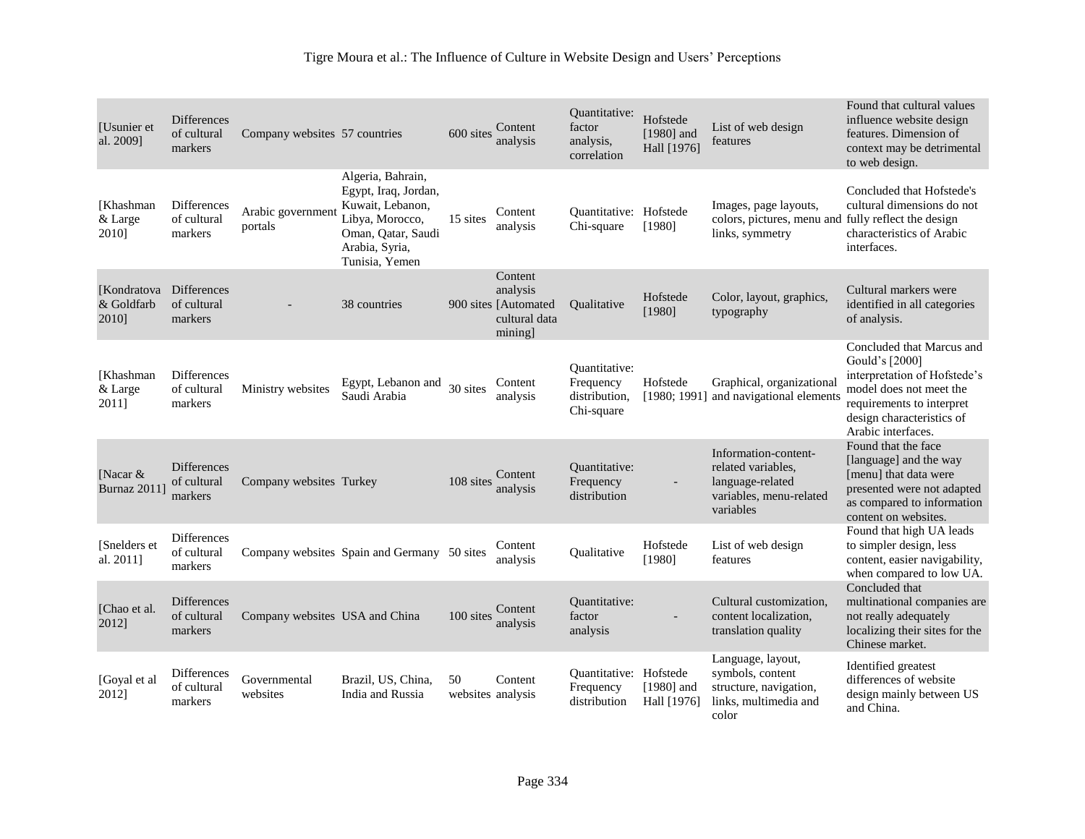| [Usunier et]<br>al. 2009]            | <b>Differences</b><br>of cultural<br>markers | Company websites 57 countries  |                                                                                                                                            | 600 sites               | Content<br>analysis                                                     | Quantitative:<br>factor<br>analysis.<br>correlation       | Hofstede<br>$[1980]$ and<br>Hall [1976] | List of web design<br>features                                                                         | Found that cultural values<br>influence website design<br>features. Dimension of<br>context may be detrimental<br>to web design.                                                       |
|--------------------------------------|----------------------------------------------|--------------------------------|--------------------------------------------------------------------------------------------------------------------------------------------|-------------------------|-------------------------------------------------------------------------|-----------------------------------------------------------|-----------------------------------------|--------------------------------------------------------------------------------------------------------|----------------------------------------------------------------------------------------------------------------------------------------------------------------------------------------|
| <b>[Khashman</b><br>& Large<br>20101 | <b>Differences</b><br>of cultural<br>markers | Arabic government<br>portals   | Algeria, Bahrain,<br>Egypt, Iraq, Jordan,<br>Kuwait, Lebanon,<br>Libya, Morocco,<br>Oman, Qatar, Saudi<br>Arabia, Syria,<br>Tunisia, Yemen | 15 sites                | Content<br>analysis                                                     | <b>Ouantitative:</b> Hofstede<br>Chi-square               | [1980]                                  | Images, page layouts,<br>colors, pictures, menu and fully reflect the design<br>links, symmetry        | Concluded that Hofstede's<br>cultural dimensions do not<br>characteristics of Arabic<br>interfaces.                                                                                    |
| [Kondratova]<br>& Goldfarb<br>2010]  | <b>Differences</b><br>of cultural<br>markers |                                | 38 countries                                                                                                                               |                         | Content<br>analysis<br>900 sites [Automated<br>cultural data<br>mining] | Oualitative                                               | Hofstede<br>[1980]                      | Color, layout, graphics,<br>typography                                                                 | Cultural markers were<br>identified in all categories<br>of analysis.                                                                                                                  |
| [Khashman]<br>& Large<br>2011]       | <b>Differences</b><br>of cultural<br>markers | Ministry websites              | Egypt, Lebanon and<br>Saudi Arabia                                                                                                         | 30 sites                | Content<br>analysis                                                     | Ouantitative:<br>Frequency<br>distribution,<br>Chi-square | Hofstede<br>[1980; 1991]                | Graphical, organizational<br>and navigational elements                                                 | Concluded that Marcus and<br>Gould's [2000]<br>interpretation of Hofstede's<br>model does not meet the<br>requirements to interpret<br>design characteristics of<br>Arabic interfaces. |
| [Nacar $&$<br><b>Burnaz 2011</b> ]   | <b>Differences</b><br>of cultural<br>markers | Company websites Turkey        |                                                                                                                                            | 108 sites               | Content<br>analysis                                                     | <b>Ouantitative:</b><br>Frequency<br>distribution         |                                         | Information-content-<br>related variables.<br>language-related<br>variables, menu-related<br>variables | Found that the face<br>[language] and the way<br>[menu] that data were<br>presented were not adapted<br>as compared to information<br>content on websites.                             |
| [Snelders et<br>al. 2011]            | <b>Differences</b><br>of cultural<br>markers |                                | Company websites Spain and Germany 50 sites                                                                                                |                         | Content<br>analysis                                                     | Qualitative                                               | Hofstede<br>[1980]                      | List of web design<br>features                                                                         | Found that high UA leads<br>to simpler design, less<br>content, easier navigability,<br>when compared to low UA.                                                                       |
| [Chao et al.<br>2012]                | <b>Differences</b><br>of cultural<br>markers | Company websites USA and China |                                                                                                                                            | 100 sites               | Content<br>analysis                                                     | <b>Ouantitative:</b><br>factor<br>analysis                |                                         | Cultural customization.<br>content localization,<br>translation quality                                | Concluded that<br>multinational companies are<br>not really adequately<br>localizing their sites for the<br>Chinese market.                                                            |
| [Goyal et al<br>20121                | <b>Differences</b><br>of cultural<br>markers | Governmental<br>websites       | Brazil, US, China,<br>India and Russia                                                                                                     | 50<br>websites analysis | Content                                                                 | Quantitative: Hofstede<br>Frequency<br>distribution       | [1980] and<br>Hall [1976]               | Language, layout,<br>symbols, content<br>structure, navigation,<br>links, multimedia and<br>color      | Identified greatest<br>differences of website<br>design mainly between US<br>and China.                                                                                                |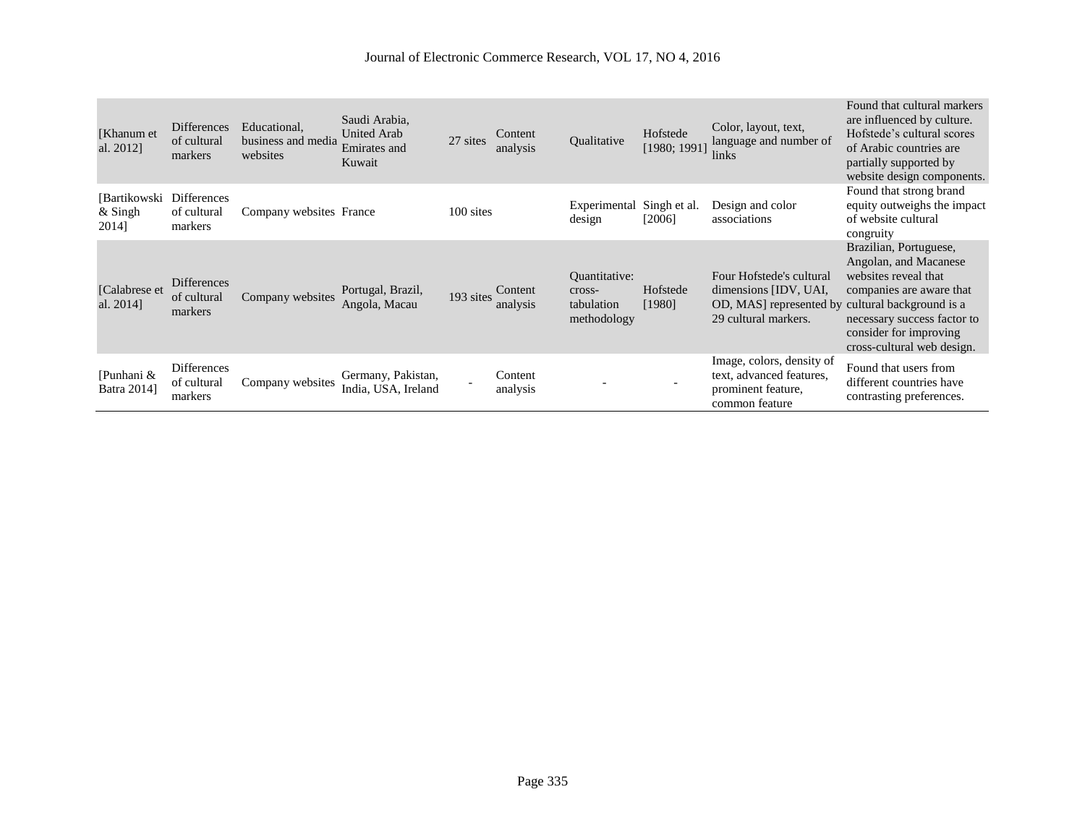| [Khanum et<br>al. 2012]          | <b>Differences</b><br>of cultural<br>markers | Educational,<br>business and media<br>websites | Saudi Arabia.<br><b>United Arab</b><br>Emirates and<br>Kuwait | 27 sites  | Content<br>analysis | Oualitative                                          | Hofstede<br>[1980; 1991] | Color, layout, text,<br>language and number of<br>links                                                                      | Found that cultural markers<br>are influenced by culture.<br>Hofstede's cultural scores<br>of Arabic countries are<br>partially supported by<br>website design components.                 |
|----------------------------------|----------------------------------------------|------------------------------------------------|---------------------------------------------------------------|-----------|---------------------|------------------------------------------------------|--------------------------|------------------------------------------------------------------------------------------------------------------------------|--------------------------------------------------------------------------------------------------------------------------------------------------------------------------------------------|
| [Bartikowski<br>& Singh<br>2014] | <b>Differences</b><br>of cultural<br>markers | Company websites France                        |                                                               | 100 sites |                     | Experimental<br>design                               | Singh et al.<br>[2006]   | Design and color<br>associations                                                                                             | Found that strong brand<br>equity outweighs the impact<br>of website cultural<br>congruity                                                                                                 |
| [Calabrese et]<br>al. 2014]      | <b>Differences</b><br>of cultural<br>markers | Company websites                               | Portugal, Brazil,<br>Angola, Macau                            | 193 sites | Content<br>analysis | Ouantitative:<br>cross-<br>tabulation<br>methodology | Hofstede<br>[1980]       | Four Hofstede's cultural<br>dimensions [IDV, UAI,<br>OD, MAS represented by cultural background is a<br>29 cultural markers. | Brazilian, Portuguese,<br>Angolan, and Macanese<br>websites reveal that<br>companies are aware that<br>necessary success factor to<br>consider for improving<br>cross-cultural web design. |
| [Punhani &<br>Batra 2014]        | <b>Differences</b><br>of cultural<br>markers | Company websites                               | Germany, Pakistan,<br>India, USA, Ireland                     |           | Content<br>analysis |                                                      |                          | Image, colors, density of<br>text, advanced features,<br>prominent feature,<br>common feature                                | Found that users from<br>different countries have<br>contrasting preferences.                                                                                                              |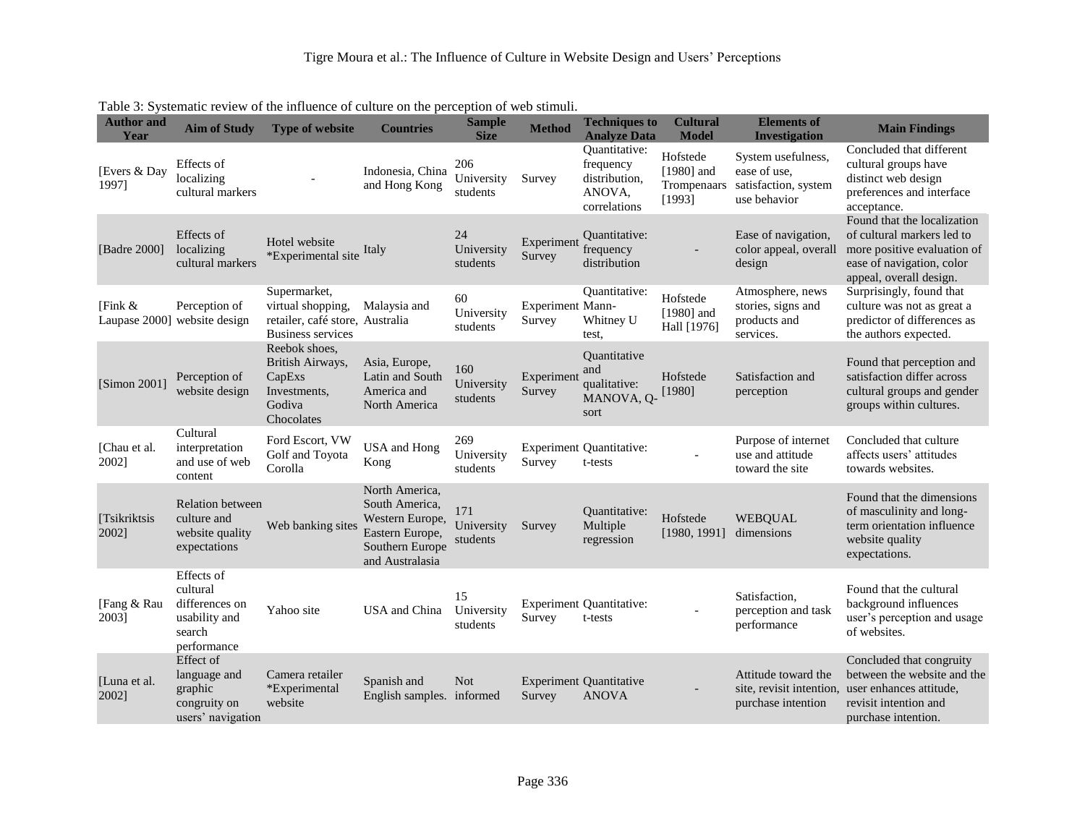| <b>Author</b> and<br>Year | <b>Aim of Study</b>                                                                | <b>Type of website</b>                                                                           | <b>Countries</b>                                                                                             | <b>Sample</b><br><b>Size</b>  | <b>Method</b>                     | <b>Techniques to</b><br><b>Analyze Data</b>                           | <b>Cultural</b><br><b>Model</b>                   | <b>Elements of</b><br><b>Investigation</b>                                 | <b>Main Findings</b>                                                                                                                             |
|---------------------------|------------------------------------------------------------------------------------|--------------------------------------------------------------------------------------------------|--------------------------------------------------------------------------------------------------------------|-------------------------------|-----------------------------------|-----------------------------------------------------------------------|---------------------------------------------------|----------------------------------------------------------------------------|--------------------------------------------------------------------------------------------------------------------------------------------------|
| [Evers & Day<br>1997]     | Effects of<br>localizing<br>cultural markers                                       |                                                                                                  | Indonesia, China<br>and Hong Kong                                                                            | 206<br>University<br>students | Survey                            | Quantitative:<br>frequency<br>distribution,<br>ANOVA,<br>correlations | Hofstede<br>$[1980]$ and<br>Trompenaars<br>[1993] | System usefulness,<br>ease of use,<br>satisfaction, system<br>use behavior | Concluded that different<br>cultural groups have<br>distinct web design<br>preferences and interface<br>acceptance.                              |
| [Badre 2000]              | Effects of<br>localizing<br>cultural markers                                       | Hotel website<br>*Experimental site                                                              | Italy                                                                                                        | 24<br>University<br>students  | Experiment<br>Survey              | Quantitative:<br>frequency<br>distribution                            |                                                   | Ease of navigation,<br>color appeal, overall<br>design                     | Found that the localization<br>of cultural markers led to<br>more positive evaluation of<br>ease of navigation, color<br>appeal, overall design. |
| [Fink &                   | Perception of<br>Laupase 2000] website design                                      | Supermarket,<br>virtual shopping,<br>retailer, café store, Australia<br><b>Business services</b> | Malaysia and                                                                                                 | 60<br>University<br>students  | <b>Experiment Mann-</b><br>Survey | Quantitative:<br>Whitney U<br>test,                                   | Hofstede<br>$[1980]$ and<br>Hall [1976]           | Atmosphere, news<br>stories, signs and<br>products and<br>services.        | Surprisingly, found that<br>culture was not as great a<br>predictor of differences as<br>the authors expected.                                   |
| [Simon 2001]              | Perception of<br>website design                                                    | Reebok shoes,<br>British Airways,<br>CapExs<br>Investments,<br>Godiva<br>Chocolates              | Asia, Europe,<br>Latin and South<br>America and<br>North America                                             | 160<br>University<br>students | Experiment<br>Survey              | Ouantitative<br>and<br>qualitative:<br>MANOVA, Q-<br>sort             | Hofstede<br>[1980]                                | Satisfaction and<br>perception                                             | Found that perception and<br>satisfaction differ across<br>cultural groups and gender<br>groups within cultures.                                 |
| [Chau et al.<br>2002]     | Cultural<br>interpretation<br>and use of web<br>content                            | Ford Escort, VW<br>Golf and Toyota<br>Corolla                                                    | USA and Hong<br>Kong                                                                                         | 269<br>University<br>students | Survey                            | <b>Experiment Quantitative:</b><br>t-tests                            |                                                   | Purpose of internet<br>use and attitude<br>toward the site                 | Concluded that culture<br>affects users' attitudes<br>towards websites.                                                                          |
| [Tsikriktsis<br>2002]     | Relation between<br>culture and<br>website quality<br>expectations                 | Web banking sites                                                                                | North America,<br>South America,<br>Western Europe,<br>Eastern Europe,<br>Southern Europe<br>and Australasia | 171<br>University<br>students | Survey                            | Quantitative:<br>Multiple<br>regression                               | Hofstede<br>[1980, 1991]                          | <b>WEBQUAL</b><br>dimensions                                               | Found that the dimensions<br>of masculinity and long-<br>term orientation influence<br>website quality<br>expectations.                          |
| [Fang & Rau<br>2003]      | Effects of<br>cultural<br>differences on<br>usability and<br>search<br>performance | Yahoo site                                                                                       | USA and China                                                                                                | 15<br>University<br>students  | Survey                            | <b>Experiment Quantitative:</b><br>t-tests                            |                                                   | Satisfaction,<br>perception and task<br>performance                        | Found that the cultural<br>background influences<br>user's perception and usage<br>of websites.                                                  |
| [Luna et al.<br>2002]     | Effect of<br>language and<br>graphic<br>congruity on<br>users' navigation          | Camera retailer<br>*Experimental<br>website                                                      | Spanish and<br>English samples. informed                                                                     | <b>Not</b>                    | Survey                            | <b>Experiment Quantitative</b><br><b>ANOVA</b>                        |                                                   | Attitude toward the<br>site, revisit intention.<br>purchase intention      | Concluded that congruity<br>between the website and the<br>user enhances attitude.<br>revisit intention and<br>purchase intention.               |

Table 3: Systematic review of the influence of culture on the perception of web stimuli.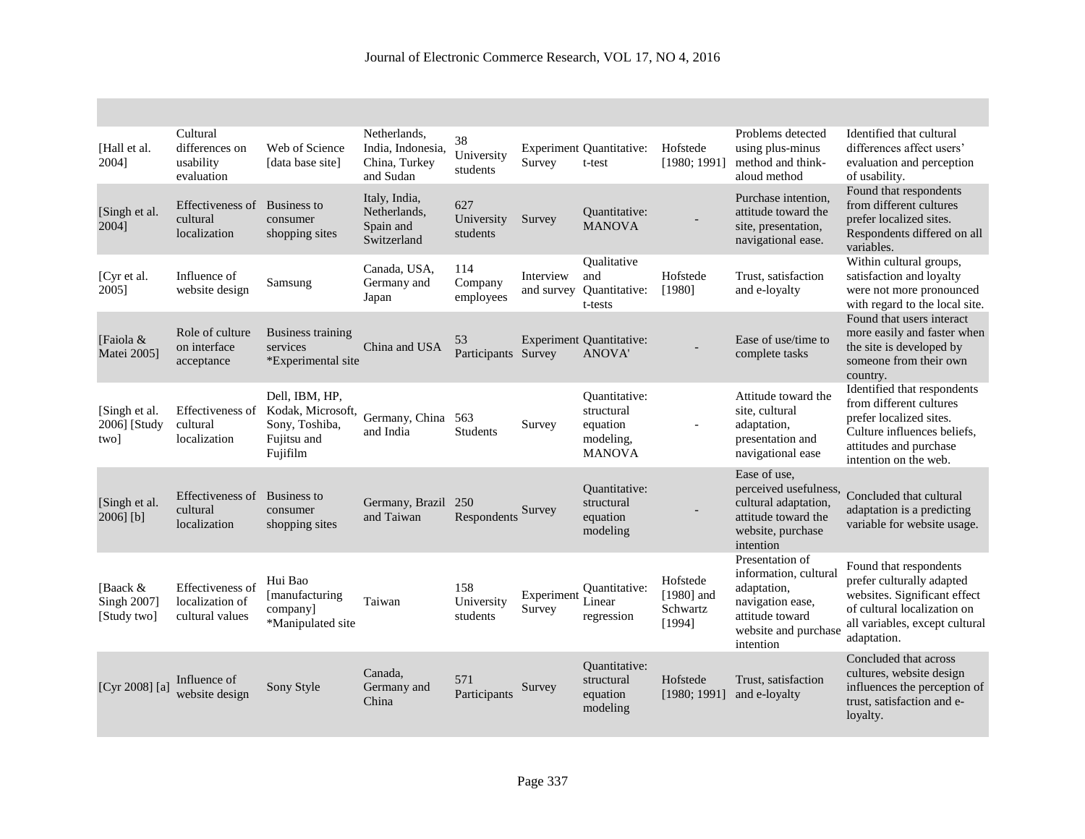| [Hall et al.<br>20041                  | Cultural<br>differences on<br>usability<br>evaluation  | Web of Science<br>[data base site]                                               | Netherlands,<br>India, Indonesia,<br>China, Turkey<br>and Sudan | 38<br>University<br>students  | Survey                  | <b>Experiment Quantitative:</b><br>t-test                             | Hofstede<br>[1980; 1991]                       | Problems detected<br>using plus-minus<br>method and think-<br>aloud method                                                          | Identified that cultural<br>differences affect users'<br>evaluation and perception<br>of usability.                                                                 |
|----------------------------------------|--------------------------------------------------------|----------------------------------------------------------------------------------|-----------------------------------------------------------------|-------------------------------|-------------------------|-----------------------------------------------------------------------|------------------------------------------------|-------------------------------------------------------------------------------------------------------------------------------------|---------------------------------------------------------------------------------------------------------------------------------------------------------------------|
| [Singh et al.<br>2004]                 | Effectiveness of<br>cultural<br>localization           | Business to<br>consumer<br>shopping sites                                        | Italy, India,<br>Netherlands,<br>Spain and<br>Switzerland       | 627<br>University<br>students | Survey                  | <b>Ouantitative:</b><br><b>MANOVA</b>                                 |                                                | Purchase intention,<br>attitude toward the<br>site, presentation,<br>navigational ease.                                             | Found that respondents<br>from different cultures<br>prefer localized sites.<br>Respondents differed on all<br>variables.                                           |
| [Cyr et al.<br>2005]                   | Influence of<br>website design                         | Samsung                                                                          | Canada, USA,<br>Germany and<br>Japan                            | 114<br>Company<br>employees   | Interview<br>and survey | Qualitative<br>and<br>Quantitative:<br>t-tests                        | Hofstede<br>[1980]                             | Trust, satisfaction<br>and e-loyalty                                                                                                | Within cultural groups,<br>satisfaction and loyalty<br>were not more pronounced<br>with regard to the local site.                                                   |
| [Faiola &<br>Matei 2005]               | Role of culture<br>on interface<br>acceptance          | <b>Business training</b><br>services<br>*Experimental site                       | China and USA                                                   | 53<br>Participants Survey     |                         | <b>Experiment Quantitative:</b><br><b>ANOVA'</b>                      |                                                | Ease of use/time to<br>complete tasks                                                                                               | Found that users interact<br>more easily and faster when<br>the site is developed by<br>someone from their own<br>country.                                          |
| [Singh et al.<br>2006] [Study<br>two]  | Effectiveness of<br>cultural<br>localization           | Dell, IBM, HP,<br>Kodak, Microsoft,<br>Sony, Toshiba,<br>Fujitsu and<br>Fujifilm | Germany, China<br>and India                                     | 563<br><b>Students</b>        | Survey                  | Ouantitative:<br>structural<br>equation<br>modeling,<br><b>MANOVA</b> | $\overline{\phantom{0}}$                       | Attitude toward the<br>site, cultural<br>adaptation,<br>presentation and<br>navigational ease                                       | Identified that respondents<br>from different cultures<br>prefer localized sites.<br>Culture influences beliefs,<br>attitudes and purchase<br>intention on the web. |
| [Singh et al.<br>2006] [b]             | Effectiveness of<br>cultural<br>localization           | <b>Business to</b><br>consumer<br>shopping sites                                 | Germany, Brazil 250<br>and Taiwan                               | Respondents                   | Survey                  | Ouantitative:<br>structural<br>equation<br>modeling                   |                                                | Ease of use,<br>perceived usefulness,<br>cultural adaptation,<br>attitude toward the<br>website, purchase<br>intention              | Concluded that cultural<br>adaptation is a predicting<br>variable for website usage.                                                                                |
| [Baack &<br>Singh 2007]<br>[Study two] | Effectiveness of<br>localization of<br>cultural values | Hui Bao<br>[manufacturing<br>company]<br>*Manipulated site                       | Taiwan                                                          | 158<br>University<br>students | Experiment<br>Survey    | Ouantitative:<br>Linear<br>regression                                 | Hofstede<br>$[1980]$ and<br>Schwartz<br>[1994] | Presentation of<br>information, cultural<br>adaptation,<br>navigation ease,<br>attitude toward<br>website and purchase<br>intention | Found that respondents<br>prefer culturally adapted<br>websites. Significant effect<br>of cultural localization on<br>all variables, except cultural<br>adaptation. |
| [Cyr 2008] $[a]$                       | Influence of<br>website design                         | Sony Style                                                                       | Canada,<br>Germany and<br>China                                 | 571<br>Participants           | Survey                  | Ouantitative:<br>structural<br>equation<br>modeling                   | Hofstede<br>[1980; 1991]                       | Trust, satisfaction<br>and e-loyalty                                                                                                | Concluded that across<br>cultures, website design<br>influences the perception of<br>trust, satisfaction and e-<br>loyalty.                                         |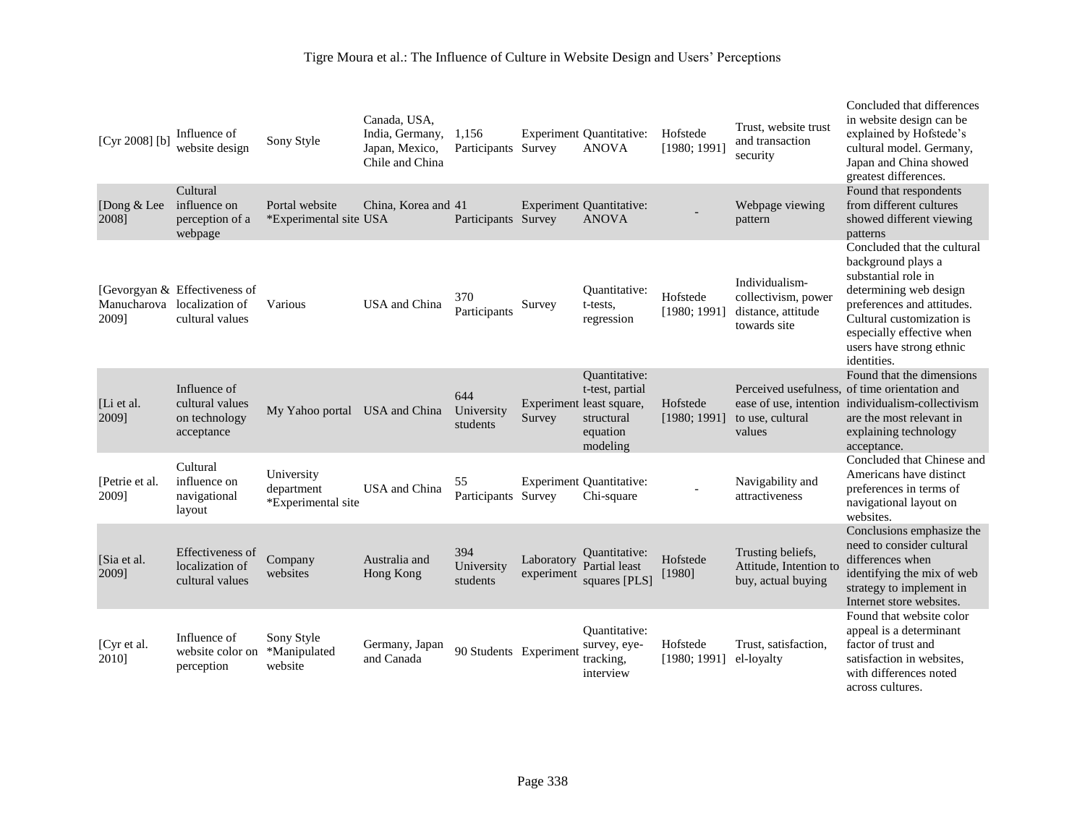| [Cyr 2008] $[b]$        | Influence of<br>website design                                      | Sony Style                                     | Canada, USA,<br>India, Germany,<br>Japan, Mexico,<br>Chile and China | 1,156<br>Participants Survey  |                          | <b>Experiment Quantitative:</b><br><b>ANOVA</b>                                                           | Hofstede<br>[1980; 1991] | Trust, website trust<br>and transaction<br>security                         | Concluded that differences<br>in website design can be<br>explained by Hofstede's<br>cultural model. Germany,<br>Japan and China showed<br>greatest differences.                                                                      |
|-------------------------|---------------------------------------------------------------------|------------------------------------------------|----------------------------------------------------------------------|-------------------------------|--------------------------|-----------------------------------------------------------------------------------------------------------|--------------------------|-----------------------------------------------------------------------------|---------------------------------------------------------------------------------------------------------------------------------------------------------------------------------------------------------------------------------------|
| [Dong & Lee<br>2008]    | Cultural<br>influence on<br>perception of a<br>webpage              | Portal website<br>*Experimental site USA       | China, Korea and 41                                                  | Participants Survey           |                          | <b>Experiment Quantitative:</b><br><b>ANOVA</b>                                                           |                          | Webpage viewing<br>pattern                                                  | Found that respondents<br>from different cultures<br>showed different viewing<br>patterns                                                                                                                                             |
| Manucharova<br>2009]    | [Gevorgyan & Effectiveness of<br>localization of<br>cultural values | Various                                        | USA and China                                                        | 370<br>Participants           | Survey                   | Ouantitative:<br>t-tests,<br>regression                                                                   | Hofstede<br>[1980; 1991] | Individualism-<br>collectivism, power<br>distance, attitude<br>towards site | Concluded that the cultural<br>background plays a<br>substantial role in<br>determining web design<br>preferences and attitudes.<br>Cultural customization is<br>especially effective when<br>users have strong ethnic<br>identities. |
| [Li et al.<br>2009]     | Influence of<br>cultural values<br>on technology<br>acceptance      | My Yahoo portal USA and China                  |                                                                      | 644<br>University<br>students | Survey                   | <b>Quantitative:</b><br>t-test, partial<br>Experiment least square,<br>structural<br>equation<br>modeling | Hofstede<br>[1980; 1991] | to use, cultural<br>values                                                  | Found that the dimensions<br>Perceived usefulness, of time orientation and<br>ease of use, intention individualism-collectivism<br>are the most relevant in<br>explaining technology<br>acceptance.                                   |
| [Petrie et al.<br>2009] | Cultural<br>influence on<br>navigational<br>layout                  | University<br>department<br>*Experimental site | USA and China                                                        | 55<br>Participants            | Survey                   | <b>Experiment Quantitative:</b><br>Chi-square                                                             |                          | Navigability and<br>attractiveness                                          | Concluded that Chinese and<br>Americans have distinct<br>preferences in terms of<br>navigational layout on<br>websites.                                                                                                               |
| [Sia et al.<br>2009]    | Effectiveness of<br>localization of<br>cultural values              | Company<br>websites                            | Australia and<br>Hong Kong                                           | 394<br>University<br>students | Laboratory<br>experiment | Ouantitative:<br>Partial least<br>squares [PLS]                                                           | Hofstede<br>[1980]       | Trusting beliefs,<br>Attitude, Intention to<br>buy, actual buying           | Conclusions emphasize the<br>need to consider cultural<br>differences when<br>identifying the mix of web<br>strategy to implement in<br>Internet store websites.                                                                      |
| [Cyr et al.<br>2010]    | Influence of<br>website color on<br>perception                      | Sony Style<br>*Manipulated<br>website          | Germany, Japan<br>and Canada                                         | 90 Students Experiment        |                          | Ouantitative:<br>survey, eye-<br>tracking.<br>interview                                                   | Hofstede<br>[1980; 1991] | Trust, satisfaction,<br>el-loyalty                                          | Found that website color<br>appeal is a determinant<br>factor of trust and<br>satisfaction in websites.<br>with differences noted<br>across cultures.                                                                                 |